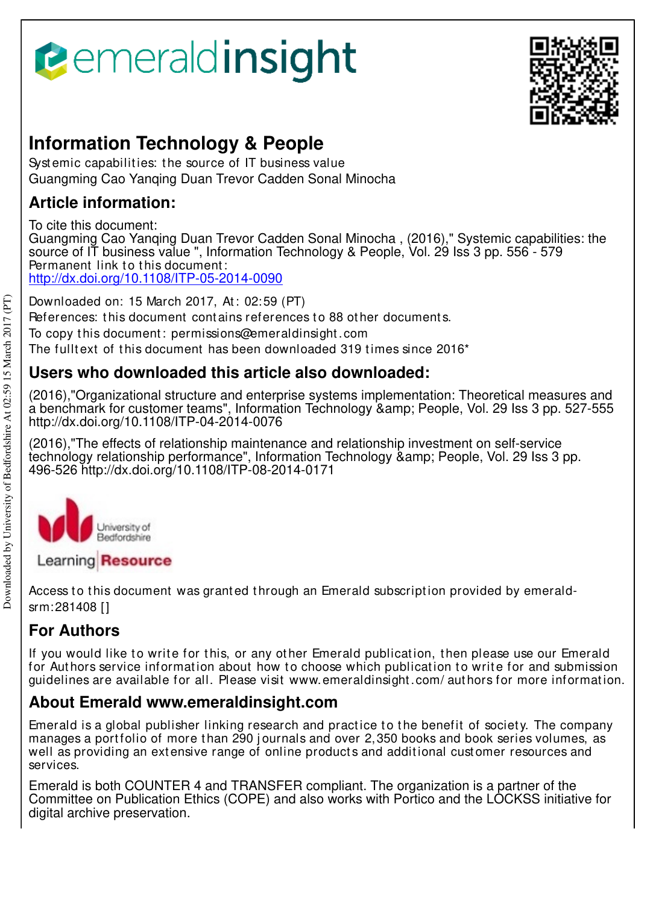



# **Information Technology & People**

Systemic capabilities: the source of IT business value Guangming Cao Yanqing Duan Trevor Cadden Sonal Minocha

# **Article information:**

To cite this document: Guangming Cao Yanqing Duan Trevor Cadden Sonal Minocha , (2016)," Systemic capabilities: the source of IT business value ", Information Technology & People, Vol. 29 Iss 3 pp. 556 - 579 Permanent link to this document: http://dx.doi.org/10.1108/ITP-05-2014-0090

Downloaded on: 15 March 2017, At: 02:59 (PT) References: this document contains references to 88 other documents. To copy t his document : permissions@emeraldinsight .com The fulltext of this document has been downloaded 319 times since  $2016<sup>*</sup>$ 

# **Users who downloaded this article also downloaded:**

(2016),"Organizational structure and enterprise systems implementation: Theoretical measures and a benchmark for customer teams", Information Technology & amp; People, Vol. 29 Iss 3 pp. 527-555 http://dx.doi.org/10.1108/ITP-04-2014-0076

(2016),"The effects of relationship maintenance and relationship investment on self-service technology relationship performance", Information Technology & amp: People, Vol. 29 Iss 3 pp. 496-526 http://dx.doi.org/10.1108/ITP-08-2014-0171



Learning Resource

Access to this document was granted through an Emerald subscription provided by emeraldsrm:281408 []

# **For Authors**

If you would like to write for this, or any other Emerald publication, then please use our Emerald for Authors service information about how to choose which publication to write for and submission guidelines are available for all. Please visit www.emeraldinsight .com/ aut hors for more informat ion.

# **About Emerald www.emeraldinsight.com**

Emerald is a global publisher linking research and practice to the benefit of society. The company manages a portfolio of more than 290 journals and over 2,350 books and book series volumes, as well as providing an extensive range of online products and additional customer resources and services.

Emerald is both COUNTER 4 and TRANSFER compliant. The organization is a partner of the Committee on Publication Ethics (COPE) and also works with Portico and the LOCKSS initiative for digital archive preservation.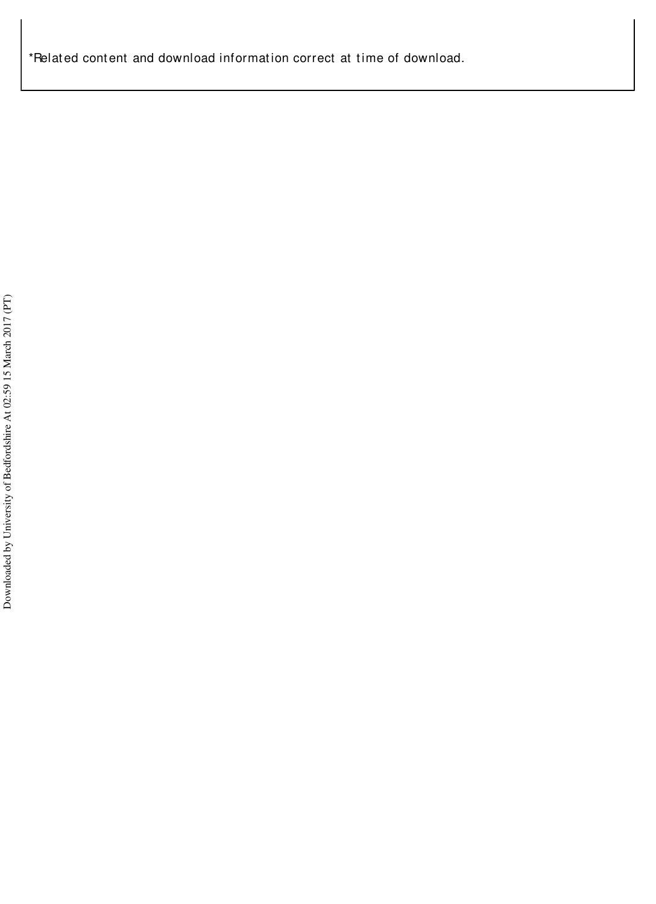\*Related content and download information correct at time of download.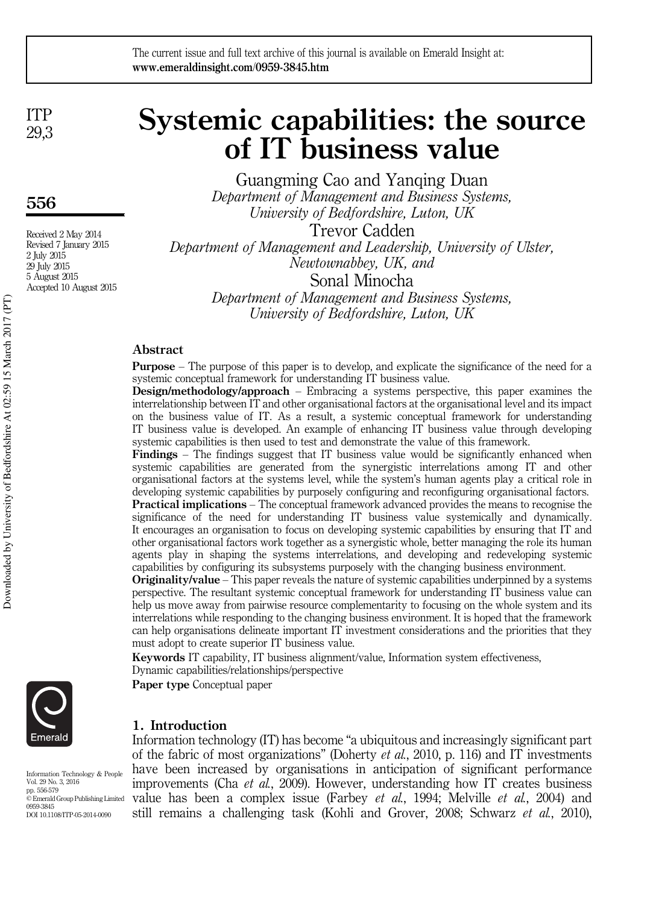# The current issue and full text archive of this journal is available on Emerald Insight at: www.emeraldinsight.com/0959-3845.htm

ITP 29,3

# 556

Received 2 May 2014 Revised 7 January 2015 2 July 2015 29 July 2015 5 August 2015 Accepted 10 August 2015

# Systemic capabilities: the source of IT business value

Guangming Cao and Yanqing Duan *Department of Management and Business Systems, University of Bedfordshire, Luton, UK* Trevor Cadden

*Department of Management and Leadership, University of Ulster, Newtownabbey, UK, and*

Sonal Minocha

*Department of Management and Business Systems, University of Bedfordshire, Luton, UK*

# Abstract

Purpose – The purpose of this paper is to develop, and explicate the significance of the need for a systemic conceptual framework for understanding IT business value.

Design/methodology/approach – Embracing a systems perspective, this paper examines the interrelationship between IT and other organisational factors at the organisational level and its impact on the business value of IT. As a result, a systemic conceptual framework for understanding IT business value is developed. An example of enhancing IT business value through developing systemic capabilities is then used to test and demonstrate the value of this framework.

Findings – The findings suggest that IT business value would be significantly enhanced when systemic capabilities are generated from the synergistic interrelations among IT and other organisational factors at the systems level, while the system's human agents play a critical role in developing systemic capabilities by purposely configuring and reconfiguring organisational factors.

Practical implications – The conceptual framework advanced provides the means to recognise the significance of the need for understanding IT business value systemically and dynamically. It encourages an organisation to focus on developing systemic capabilities by ensuring that IT and other organisational factors work together as a synergistic whole, better managing the role its human agents play in shaping the systems interrelations, and developing and redeveloping systemic capabilities by configuring its subsystems purposely with the changing business environment.

**Originality/value** – This paper reveals the nature of systemic capabilities underpinned by a systems perspective. The resultant systemic conceptual framework for understanding IT business value can help us move away from pairwise resource complementarity to focusing on the whole system and its interrelations while responding to the changing business environment. It is hoped that the framework can help organisations delineate important IT investment considerations and the priorities that they must adopt to create superior IT business value.

Keywords IT capability, IT business alignment/value, Information system effectiveness, Dynamic capabilities/relationships/perspective

Paper type Conceptual paper

# 1. Introduction

Information technology (IT) has become "a ubiquitous and increasingly significant part of the fabric of most organizations" (Doherty *et al.*, 2010, p. 116) and IT investments have been increased by organisations in anticipation of significant performance improvements (Cha *et al.*, 2009). However, understanding how IT creates business value has been a complex issue (Farbey *et al.*, 1994; Melville *et al.*, 2004) and still remains a challenging task (Kohli and Grover, 2008; Schwarz *et al.*, 2010),



Information Technology & People Vol. 29 No. 3, 2016 pp. 556-579 © Emerald Group Publishing Limited 0959-3845 DOI 10.1108/ITP-05-2014-0090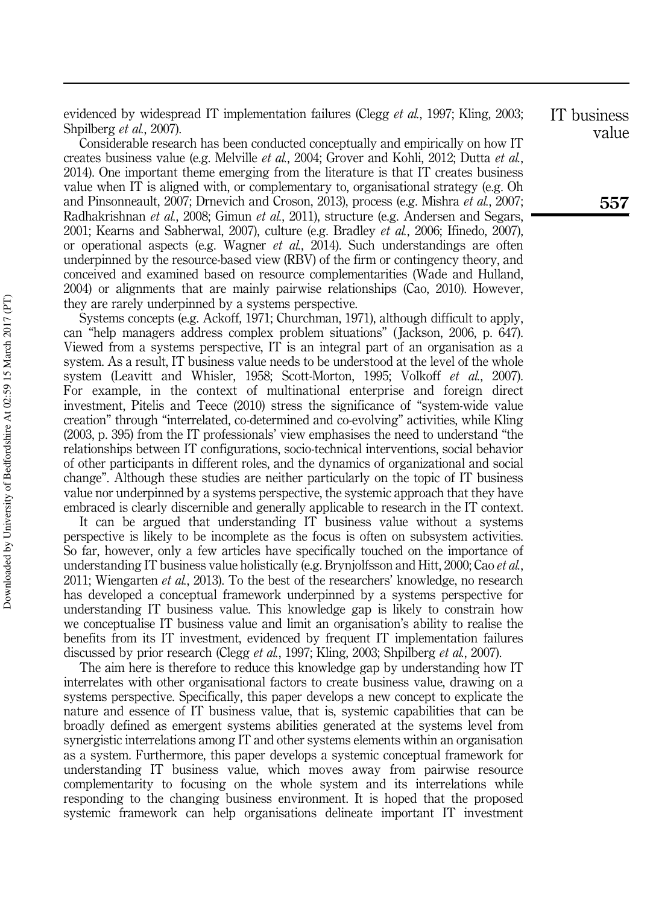evidenced by widespread IT implementation failures (Clegg *et al.*, 1997; Kling, 2003; Shpilberg *et al.*, 2007).

Considerable research has been conducted conceptually and empirically on how IT creates business value (e.g. Melville *et al.*, 2004; Grover and Kohli, 2012; Dutta *et al.*, 2014). One important theme emerging from the literature is that IT creates business value when IT is aligned with, or complementary to, organisational strategy (e.g. Oh and Pinsonneault, 2007; Drnevich and Croson, 2013), process (e.g. Mishra *et al.*, 2007; Radhakrishnan *et al.*, 2008; Gimun *et al.*, 2011), structure (e.g. Andersen and Segars, 2001; Kearns and Sabherwal, 2007), culture (e.g. Bradley *et al.*, 2006; Ifinedo, 2007), or operational aspects (e.g. Wagner *et al.*, 2014). Such understandings are often underpinned by the resource-based view (RBV) of the firm or contingency theory, and conceived and examined based on resource complementarities (Wade and Hulland, 2004) or alignments that are mainly pairwise relationships (Cao, 2010). However, they are rarely underpinned by a systems perspective.

Systems concepts (e.g. Ackoff, 1971; Churchman, 1971), although difficult to apply, can "help managers address complex problem situations" ( Jackson, 2006, p. 647). Viewed from a systems perspective, IT is an integral part of an organisation as a system. As a result, IT business value needs to be understood at the level of the whole system (Leavitt and Whisler, 1958; Scott-Morton, 1995; Volkoff *et al.*, 2007). For example, in the context of multinational enterprise and foreign direct investment, Pitelis and Teece (2010) stress the significance of "system-wide value creation" through "interrelated, co-determined and co-evolving" activities, while Kling (2003, p. 395) from the IT professionals' view emphasises the need to understand "the relationships between IT configurations, socio-technical interventions, social behavior of other participants in different roles, and the dynamics of organizational and social change". Although these studies are neither particularly on the topic of IT business value nor underpinned by a systems perspective, the systemic approach that they have embraced is clearly discernible and generally applicable to research in the IT context.

It can be argued that understanding IT business value without a systems perspective is likely to be incomplete as the focus is often on subsystem activities. So far, however, only a few articles have specifically touched on the importance of understanding IT business value holistically (e.g. Brynjolfsson and Hitt, 2000; Cao *et al.*, 2011; Wiengarten *et al.*, 2013). To the best of the researchers' knowledge, no research has developed a conceptual framework underpinned by a systems perspective for understanding IT business value. This knowledge gap is likely to constrain how we conceptualise IT business value and limit an organisation's ability to realise the benefits from its IT investment, evidenced by frequent IT implementation failures discussed by prior research (Clegg *et al.*, 1997; Kling, 2003; Shpilberg *et al.*, 2007).

The aim here is therefore to reduce this knowledge gap by understanding how IT interrelates with other organisational factors to create business value, drawing on a systems perspective. Specifically, this paper develops a new concept to explicate the nature and essence of IT business value, that is, systemic capabilities that can be broadly defined as emergent systems abilities generated at the systems level from synergistic interrelations among IT and other systems elements within an organisation as a system. Furthermore, this paper develops a systemic conceptual framework for understanding IT business value, which moves away from pairwise resource complementarity to focusing on the whole system and its interrelations while responding to the changing business environment. It is hoped that the proposed systemic framework can help organisations delineate important IT investment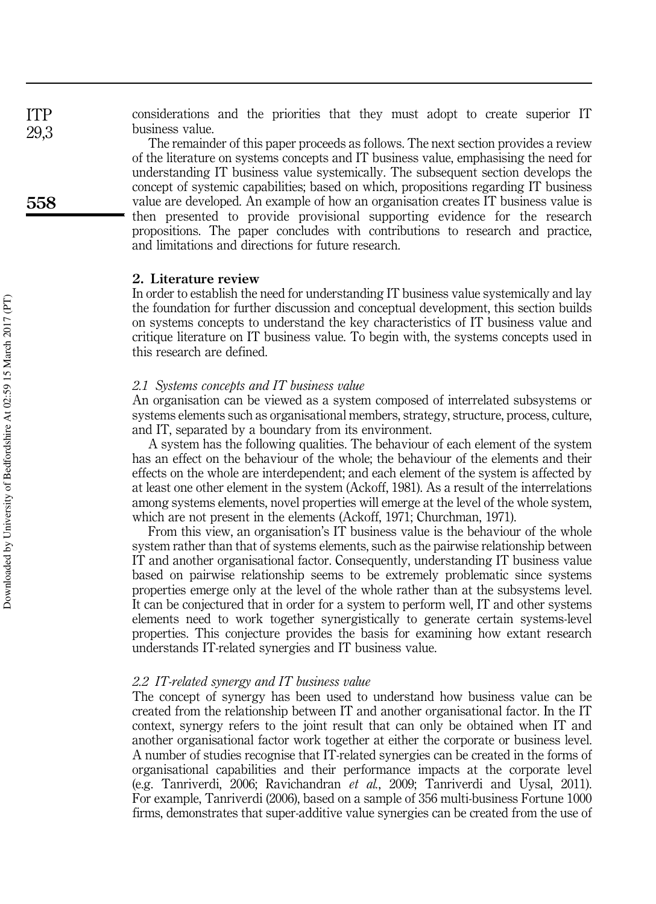considerations and the priorities that they must adopt to create superior IT business value.

The remainder of this paper proceeds as follows. The next section provides a review of the literature on systems concepts and IT business value, emphasising the need for understanding IT business value systemically. The subsequent section develops the concept of systemic capabilities; based on which, propositions regarding IT business value are developed. An example of how an organisation creates IT business value is then presented to provide provisional supporting evidence for the research propositions. The paper concludes with contributions to research and practice, and limitations and directions for future research.

# 2. Literature review

In order to establish the need for understanding IT business value systemically and lay the foundation for further discussion and conceptual development, this section builds on systems concepts to understand the key characteristics of IT business value and critique literature on IT business value. To begin with, the systems concepts used in this research are defined.

# *2.1 Systems concepts and IT business value*

An organisation can be viewed as a system composed of interrelated subsystems or systems elements such as organisational members, strategy, structure, process, culture, and IT, separated by a boundary from its environment.

A system has the following qualities. The behaviour of each element of the system has an effect on the behaviour of the whole; the behaviour of the elements and their effects on the whole are interdependent; and each element of the system is affected by at least one other element in the system (Ackoff, 1981). As a result of the interrelations among systems elements, novel properties will emerge at the level of the whole system, which are not present in the elements (Ackoff, 1971; Churchman, 1971).

From this view, an organisation's IT business value is the behaviour of the whole system rather than that of systems elements, such as the pairwise relationship between IT and another organisational factor. Consequently, understanding IT business value based on pairwise relationship seems to be extremely problematic since systems properties emerge only at the level of the whole rather than at the subsystems level. It can be conjectured that in order for a system to perform well, IT and other systems elements need to work together synergistically to generate certain systems-level properties. This conjecture provides the basis for examining how extant research understands IT-related synergies and IT business value.

### *2.2 IT-related synergy and IT business value*

The concept of synergy has been used to understand how business value can be created from the relationship between IT and another organisational factor. In the IT context, synergy refers to the joint result that can only be obtained when IT and another organisational factor work together at either the corporate or business level. A number of studies recognise that IT-related synergies can be created in the forms of organisational capabilities and their performance impacts at the corporate level (e.g. Tanriverdi, 2006; Ravichandran *et al.*, 2009; Tanriverdi and Uysal, 2011). For example, Tanriverdi (2006), based on a sample of 356 multi-business Fortune 1000 firms, demonstrates that super-additive value synergies can be created from the use of

558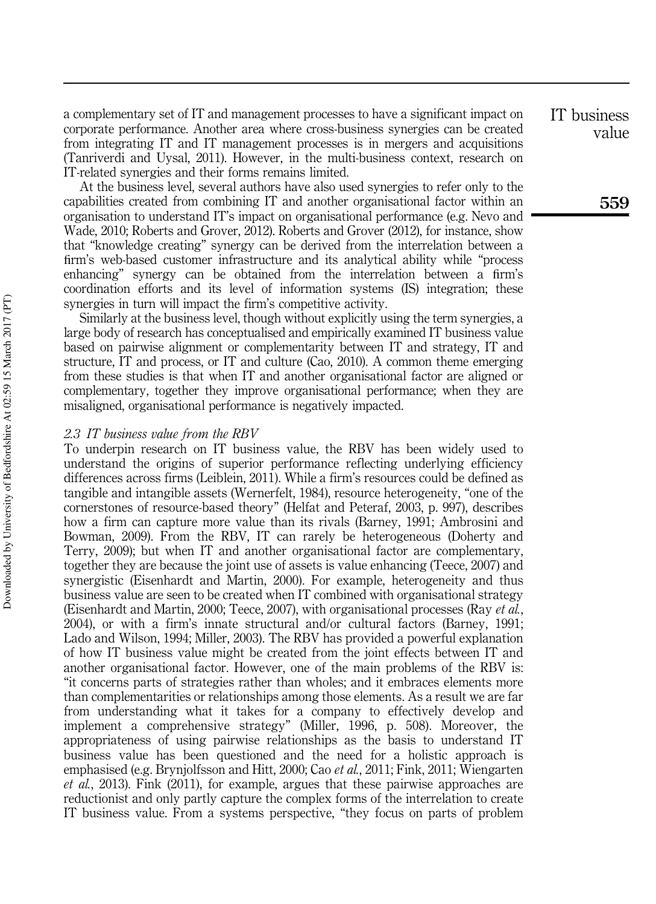a complementary set of IT and management processes to have a significant impact on corporate performance. Another area where cross-business synergies can be created from integrating IT and IT management processes is in mergers and acquisitions (Tanriverdi and Uysal, 2011). However, in the multi-business context, research on IT-related synergies and their forms remains limited.

At the business level, several authors have also used synergies to refer only to the capabilities created from combining IT and another organisational factor within an organisation to understand IT's impact on organisational performance (e.g. Nevo and Wade, 2010; Roberts and Grover, 2012). Roberts and Grover (2012), for instance, show that "knowledge creating" synergy can be derived from the interrelation between a firm's web-based customer infrastructure and its analytical ability while "process enhancing" synergy can be obtained from the interrelation between a firm's coordination efforts and its level of information systems (IS) integration; these synergies in turn will impact the firm's competitive activity.

Similarly at the business level, though without explicitly using the term synergies, a large body of research has conceptualised and empirically examined IT business value based on pairwise alignment or complementarity between IT and strategy, IT and structure, IT and process, or IT and culture (Cao, 2010). A common theme emerging from these studies is that when IT and another organisational factor are aligned or complementary, together they improve organisational performance; when they are misaligned, organisational performance is negatively impacted.

## *2.3 IT business value from the RBV*

To underpin research on IT business value, the RBV has been widely used to understand the origins of superior performance reflecting underlying efficiency differences across firms (Leiblein, 2011). While a firm's resources could be defined as tangible and intangible assets (Wernerfelt, 1984), resource heterogeneity, "one of the cornerstones of resource-based theory" (Helfat and Peteraf, 2003, p. 997), describes how a firm can capture more value than its rivals (Barney, 1991; Ambrosini and Bowman, 2009). From the RBV, IT can rarely be heterogeneous (Doherty and Terry, 2009); but when IT and another organisational factor are complementary, together they are because the joint use of assets is value enhancing (Teece, 2007) and synergistic (Eisenhardt and Martin, 2000). For example, heterogeneity and thus business value are seen to be created when IT combined with organisational strategy (Eisenhardt and Martin, 2000; Teece, 2007), with organisational processes (Ray *et al.*, 2004), or with a firm's innate structural and/or cultural factors (Barney, 1991; Lado and Wilson, 1994; Miller, 2003). The RBV has provided a powerful explanation of how IT business value might be created from the joint effects between IT and another organisational factor. However, one of the main problems of the RBV is: "it concerns parts of strategies rather than wholes; and it embraces elements more than complementarities or relationships among those elements. As a result we are far from understanding what it takes for a company to effectively develop and implement a comprehensive strategy" (Miller, 1996, p. 508). Moreover, the appropriateness of using pairwise relationships as the basis to understand IT business value has been questioned and the need for a holistic approach is emphasised (e.g. Brynjolfsson and Hitt, 2000; Cao *et al.*, 2011; Fink, 2011; Wiengarten *et al.*, 2013). Fink (2011), for example, argues that these pairwise approaches are reductionist and only partly capture the complex forms of the interrelation to create IT business value. From a systems perspective, "they focus on parts of problem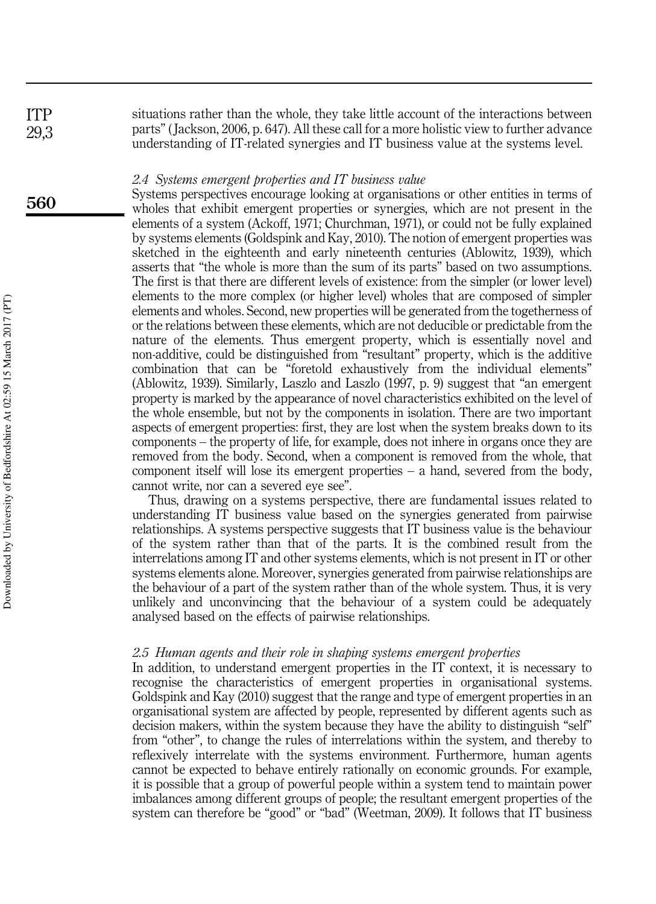situations rather than the whole, they take little account of the interactions between parts" ( Jackson, 2006, p. 647). All these call for a more holistic view to further advance understanding of IT-related synergies and IT business value at the systems level.

### *2.4 Systems emergent properties and IT business value*

Systems perspectives encourage looking at organisations or other entities in terms of wholes that exhibit emergent properties or synergies, which are not present in the elements of a system (Ackoff, 1971; Churchman, 1971), or could not be fully explained by systems elements (Goldspink and Kay, 2010). The notion of emergent properties was sketched in the eighteenth and early nineteenth centuries (Ablowitz, 1939), which asserts that "the whole is more than the sum of its parts" based on two assumptions. The first is that there are different levels of existence: from the simpler (or lower level) elements to the more complex (or higher level) wholes that are composed of simpler elements and wholes. Second, new properties will be generated from the togetherness of or the relations between these elements, which are not deducible or predictable from the nature of the elements. Thus emergent property, which is essentially novel and non-additive, could be distinguished from "resultant" property, which is the additive combination that can be "foretold exhaustively from the individual elements" (Ablowitz, 1939). Similarly, Laszlo and Laszlo (1997, p. 9) suggest that "an emergent property is marked by the appearance of novel characteristics exhibited on the level of the whole ensemble, but not by the components in isolation. There are two important aspects of emergent properties: first, they are lost when the system breaks down to its components – the property of life, for example, does not inhere in organs once they are removed from the body. Second, when a component is removed from the whole, that component itself will lose its emergent properties – a hand, severed from the body, cannot write, nor can a severed eye see".

Thus, drawing on a systems perspective, there are fundamental issues related to understanding IT business value based on the synergies generated from pairwise relationships. A systems perspective suggests that IT business value is the behaviour of the system rather than that of the parts. It is the combined result from the interrelations among IT and other systems elements, which is not present in IT or other systems elements alone. Moreover, synergies generated from pairwise relationships are the behaviour of a part of the system rather than of the whole system. Thus, it is very unlikely and unconvincing that the behaviour of a system could be adequately analysed based on the effects of pairwise relationships.

### *2.5 Human agents and their role in shaping systems emergent properties*

In addition, to understand emergent properties in the IT context, it is necessary to recognise the characteristics of emergent properties in organisational systems. Goldspink and Kay (2010) suggest that the range and type of emergent properties in an organisational system are affected by people, represented by different agents such as decision makers, within the system because they have the ability to distinguish "self" from "other", to change the rules of interrelations within the system, and thereby to reflexively interrelate with the systems environment. Furthermore, human agents cannot be expected to behave entirely rationally on economic grounds. For example, it is possible that a group of powerful people within a system tend to maintain power imbalances among different groups of people; the resultant emergent properties of the system can therefore be "good" or "bad" (Weetman, 2009). It follows that IT business

560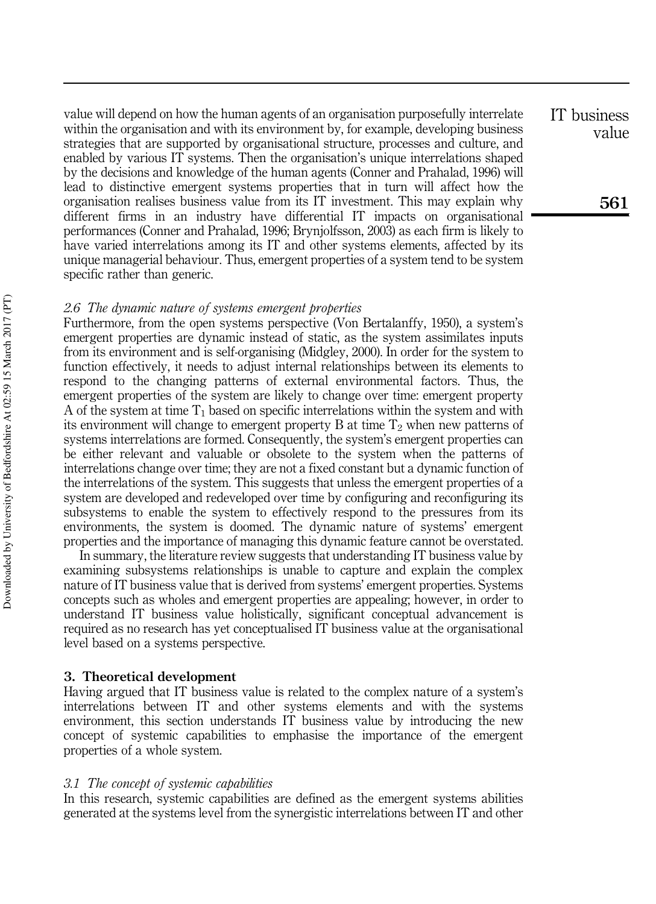value will depend on how the human agents of an organisation purposefully interrelate within the organisation and with its environment by, for example, developing business strategies that are supported by organisational structure, processes and culture, and enabled by various IT systems. Then the organisation's unique interrelations shaped by the decisions and knowledge of the human agents (Conner and Prahalad, 1996) will lead to distinctive emergent systems properties that in turn will affect how the organisation realises business value from its IT investment. This may explain why different firms in an industry have differential IT impacts on organisational performances (Conner and Prahalad, 1996; Brynjolfsson, 2003) as each firm is likely to have varied interrelations among its IT and other systems elements, affected by its unique managerial behaviour. Thus, emergent properties of a system tend to be system specific rather than generic.

## *2.6 The dynamic nature of systems emergent properties*

Furthermore, from the open systems perspective (Von Bertalanffy, 1950), a system's emergent properties are dynamic instead of static, as the system assimilates inputs from its environment and is self-organising (Midgley, 2000). In order for the system to function effectively, it needs to adjust internal relationships between its elements to respond to the changing patterns of external environmental factors. Thus, the emergent properties of the system are likely to change over time: emergent property A of the system at time  $T_1$  based on specific interrelations within the system and with its environment will change to emergent property B at time  $T_2$  when new patterns of systems interrelations are formed. Consequently, the system's emergent properties can be either relevant and valuable or obsolete to the system when the patterns of interrelations change over time; they are not a fixed constant but a dynamic function of the interrelations of the system. This suggests that unless the emergent properties of a system are developed and redeveloped over time by configuring and reconfiguring its subsystems to enable the system to effectively respond to the pressures from its environments, the system is doomed. The dynamic nature of systems' emergent properties and the importance of managing this dynamic feature cannot be overstated.

In summary, the literature review suggests that understanding IT business value by examining subsystems relationships is unable to capture and explain the complex nature of IT business value that is derived from systems' emergent properties. Systems concepts such as wholes and emergent properties are appealing; however, in order to understand IT business value holistically, significant conceptual advancement is required as no research has yet conceptualised IT business value at the organisational level based on a systems perspective.

# 3. Theoretical development

Having argued that IT business value is related to the complex nature of a system's interrelations between IT and other systems elements and with the systems environment, this section understands IT business value by introducing the new concept of systemic capabilities to emphasise the importance of the emergent properties of a whole system.

### *3.1 The concept of systemic capabilities*

In this research, systemic capabilities are defined as the emergent systems abilities generated at the systems level from the synergistic interrelations between IT and other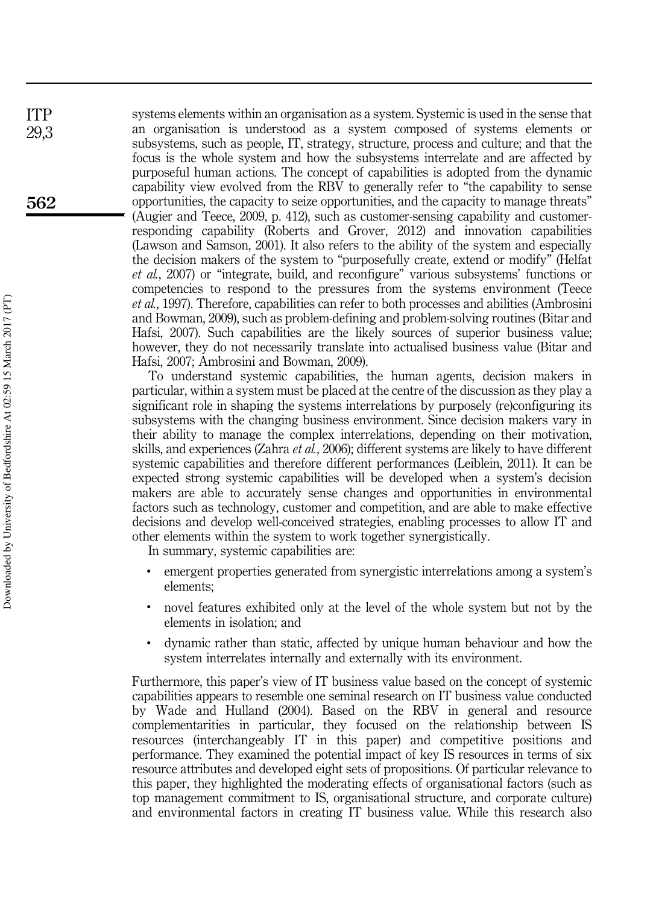systems elements within an organisation as a system. Systemic is used in the sense that an organisation is understood as a system composed of systems elements or subsystems, such as people, IT, strategy, structure, process and culture; and that the focus is the whole system and how the subsystems interrelate and are affected by purposeful human actions. The concept of capabilities is adopted from the dynamic capability view evolved from the RBV to generally refer to "the capability to sense opportunities, the capacity to seize opportunities, and the capacity to manage threats" (Augier and Teece, 2009, p. 412), such as customer-sensing capability and customerresponding capability (Roberts and Grover, 2012) and innovation capabilities (Lawson and Samson, 2001). It also refers to the ability of the system and especially the decision makers of the system to "purposefully create, extend or modify" (Helfat *et al.*, 2007) or "integrate, build, and reconfigure" various subsystems' functions or competencies to respond to the pressures from the systems environment (Teece *et al.*, 1997). Therefore, capabilities can refer to both processes and abilities (Ambrosini and Bowman, 2009), such as problem-defining and problem-solving routines (Bitar and Hafsi, 2007). Such capabilities are the likely sources of superior business value; however, they do not necessarily translate into actualised business value (Bitar and Hafsi, 2007; Ambrosini and Bowman, 2009).

To understand systemic capabilities, the human agents, decision makers in particular, within a system must be placed at the centre of the discussion as they play a significant role in shaping the systems interrelations by purposely (re)configuring its subsystems with the changing business environment. Since decision makers vary in their ability to manage the complex interrelations, depending on their motivation, skills, and experiences (Zahra *et al.*, 2006); different systems are likely to have different systemic capabilities and therefore different performances (Leiblein, 2011). It can be expected strong systemic capabilities will be developed when a system's decision makers are able to accurately sense changes and opportunities in environmental factors such as technology, customer and competition, and are able to make effective decisions and develop well-conceived strategies, enabling processes to allow IT and other elements within the system to work together synergistically.

In summary, systemic capabilities are:

- emergent properties generated from synergistic interrelations among a system's elements;
- novel features exhibited only at the level of the whole system but not by the elements in isolation; and
- dynamic rather than static, affected by unique human behaviour and how the system interrelates internally and externally with its environment.

Furthermore, this paper's view of IT business value based on the concept of systemic capabilities appears to resemble one seminal research on IT business value conducted by Wade and Hulland (2004). Based on the RBV in general and resource complementarities in particular, they focused on the relationship between IS resources (interchangeably IT in this paper) and competitive positions and performance. They examined the potential impact of key IS resources in terms of six resource attributes and developed eight sets of propositions. Of particular relevance to this paper, they highlighted the moderating effects of organisational factors (such as top management commitment to IS, organisational structure, and corporate culture) and environmental factors in creating IT business value. While this research also

562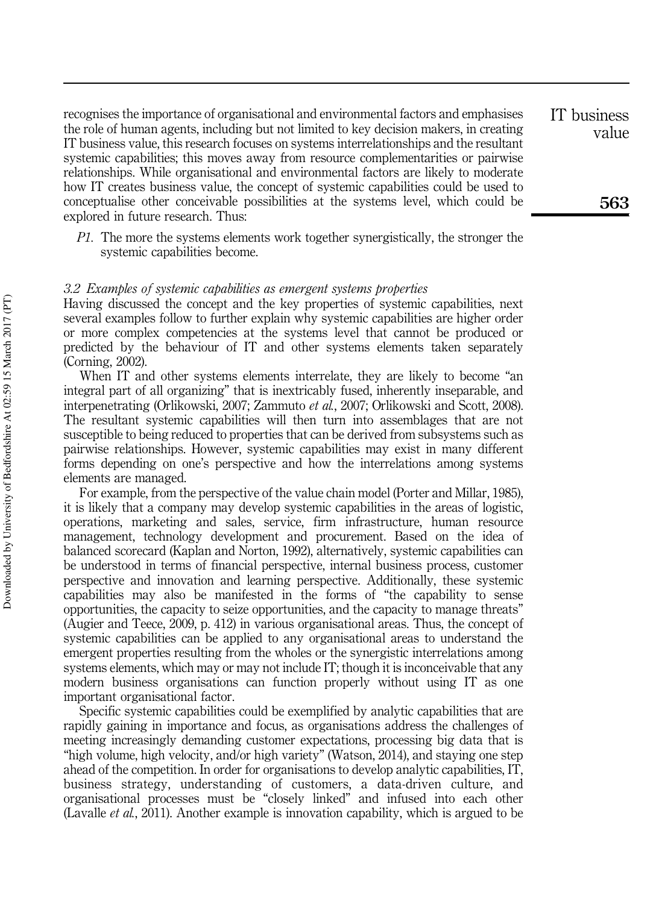recognises the importance of organisational and environmental factors and emphasises the role of human agents, including but not limited to key decision makers, in creating IT business value, this research focuses on systems interrelationships and the resultant systemic capabilities; this moves away from resource complementarities or pairwise relationships. While organisational and environmental factors are likely to moderate how IT creates business value, the concept of systemic capabilities could be used to conceptualise other conceivable possibilities at the systems level, which could be explored in future research. Thus:

*P1.* The more the systems elements work together synergistically, the stronger the systemic capabilities become.

### *3.2 Examples of systemic capabilities as emergent systems properties*

Having discussed the concept and the key properties of systemic capabilities, next several examples follow to further explain why systemic capabilities are higher order or more complex competencies at the systems level that cannot be produced or predicted by the behaviour of IT and other systems elements taken separately (Corning, 2002).

When IT and other systems elements interrelate, they are likely to become "an integral part of all organizing" that is inextricably fused, inherently inseparable, and interpenetrating (Orlikowski, 2007; Zammuto *et al.*, 2007; Orlikowski and Scott, 2008). The resultant systemic capabilities will then turn into assemblages that are not susceptible to being reduced to properties that can be derived from subsystems such as pairwise relationships. However, systemic capabilities may exist in many different forms depending on one's perspective and how the interrelations among systems elements are managed.

For example, from the perspective of the value chain model (Porter and Millar, 1985), it is likely that a company may develop systemic capabilities in the areas of logistic, operations, marketing and sales, service, firm infrastructure, human resource management, technology development and procurement. Based on the idea of balanced scorecard (Kaplan and Norton, 1992), alternatively, systemic capabilities can be understood in terms of financial perspective, internal business process, customer perspective and innovation and learning perspective. Additionally, these systemic capabilities may also be manifested in the forms of "the capability to sense opportunities, the capacity to seize opportunities, and the capacity to manage threats" (Augier and Teece, 2009, p. 412) in various organisational areas. Thus, the concept of systemic capabilities can be applied to any organisational areas to understand the emergent properties resulting from the wholes or the synergistic interrelations among systems elements, which may or may not include IT; though it is inconceivable that any modern business organisations can function properly without using IT as one important organisational factor.

Specific systemic capabilities could be exemplified by analytic capabilities that are rapidly gaining in importance and focus, as organisations address the challenges of meeting increasingly demanding customer expectations, processing big data that is "high volume, high velocity, and/or high variety" (Watson, 2014), and staying one step ahead of the competition. In order for organisations to develop analytic capabilities, IT, business strategy, understanding of customers, a data-driven culture, and organisational processes must be "closely linked" and infused into each other (Lavalle *et al.*, 2011). Another example is innovation capability, which is argued to be

value

IT business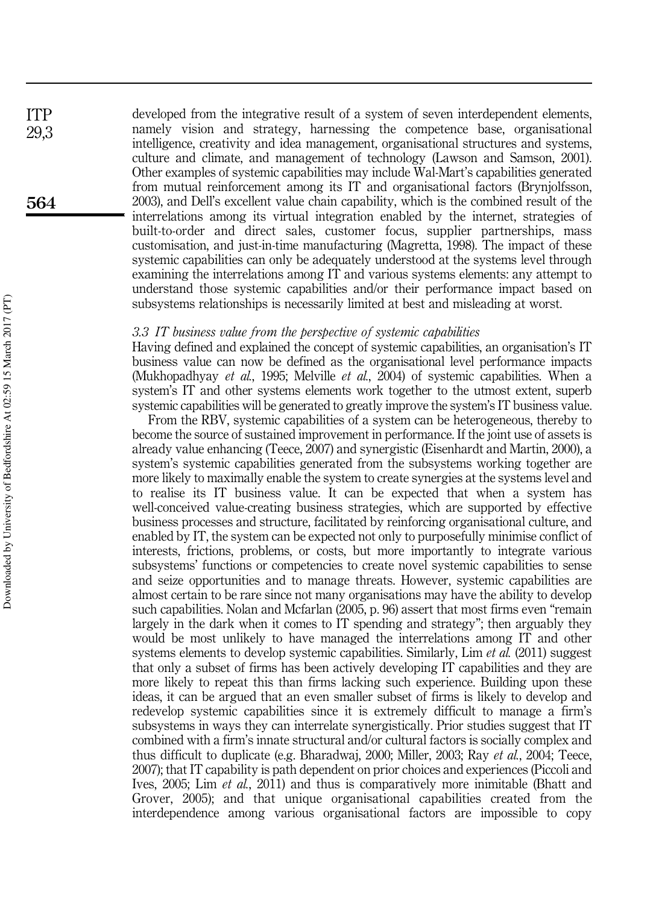developed from the integrative result of a system of seven interdependent elements, namely vision and strategy, harnessing the competence base, organisational intelligence, creativity and idea management, organisational structures and systems, culture and climate, and management of technology (Lawson and Samson, 2001). Other examples of systemic capabilities may include Wal-Mart's capabilities generated from mutual reinforcement among its IT and organisational factors (Brynjolfsson, 2003), and Dell's excellent value chain capability, which is the combined result of the interrelations among its virtual integration enabled by the internet, strategies of built-to-order and direct sales, customer focus, supplier partnerships, mass customisation, and just-in-time manufacturing (Magretta, 1998). The impact of these systemic capabilities can only be adequately understood at the systems level through examining the interrelations among IT and various systems elements: any attempt to understand those systemic capabilities and/or their performance impact based on subsystems relationships is necessarily limited at best and misleading at worst.

## *3.3 IT business value from the perspective of systemic capabilities*

Having defined and explained the concept of systemic capabilities, an organisation's IT business value can now be defined as the organisational level performance impacts (Mukhopadhyay *et al.*, 1995; Melville *et al.*, 2004) of systemic capabilities. When a system's IT and other systems elements work together to the utmost extent, superb systemic capabilities will be generated to greatly improve the system's IT business value.

From the RBV, systemic capabilities of a system can be heterogeneous, thereby to become the source of sustained improvement in performance. If the joint use of assets is already value enhancing (Teece, 2007) and synergistic (Eisenhardt and Martin, 2000), a system's systemic capabilities generated from the subsystems working together are more likely to maximally enable the system to create synergies at the systems level and to realise its IT business value. It can be expected that when a system has well-conceived value-creating business strategies, which are supported by effective business processes and structure, facilitated by reinforcing organisational culture, and enabled by IT, the system can be expected not only to purposefully minimise conflict of interests, frictions, problems, or costs, but more importantly to integrate various subsystems' functions or competencies to create novel systemic capabilities to sense and seize opportunities and to manage threats. However, systemic capabilities are almost certain to be rare since not many organisations may have the ability to develop such capabilities. Nolan and Mcfarlan (2005, p. 96) assert that most firms even "remain largely in the dark when it comes to IT spending and strategy"; then arguably they would be most unlikely to have managed the interrelations among IT and other systems elements to develop systemic capabilities. Similarly, Lim *et al.* (2011) suggest that only a subset of firms has been actively developing IT capabilities and they are more likely to repeat this than firms lacking such experience. Building upon these ideas, it can be argued that an even smaller subset of firms is likely to develop and redevelop systemic capabilities since it is extremely difficult to manage a firm's subsystems in ways they can interrelate synergistically. Prior studies suggest that IT combined with a firm's innate structural and/or cultural factors is socially complex and thus difficult to duplicate (e.g. Bharadwaj, 2000; Miller, 2003; Ray *et al.*, 2004; Teece, 2007); that IT capability is path dependent on prior choices and experiences (Piccoli and Ives, 2005; Lim *et al.*, 2011) and thus is comparatively more inimitable (Bhatt and Grover, 2005); and that unique organisational capabilities created from the interdependence among various organisational factors are impossible to copy

564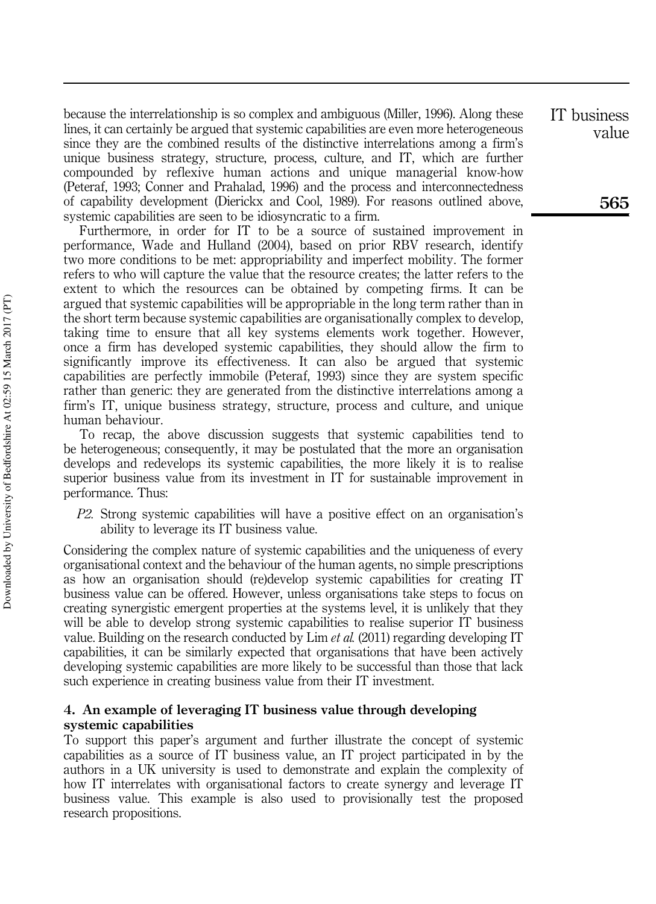because the interrelationship is so complex and ambiguous (Miller, 1996). Along these lines, it can certainly be argued that systemic capabilities are even more heterogeneous since they are the combined results of the distinctive interrelations among a firm's unique business strategy, structure, process, culture, and IT, which are further compounded by reflexive human actions and unique managerial know-how (Peteraf, 1993; Conner and Prahalad, 1996) and the process and interconnectedness of capability development (Dierickx and Cool, 1989). For reasons outlined above, systemic capabilities are seen to be idiosyncratic to a firm.

Furthermore, in order for IT to be a source of sustained improvement in performance, Wade and Hulland (2004), based on prior RBV research, identify two more conditions to be met: appropriability and imperfect mobility. The former refers to who will capture the value that the resource creates; the latter refers to the extent to which the resources can be obtained by competing firms. It can be argued that systemic capabilities will be appropriable in the long term rather than in the short term because systemic capabilities are organisationally complex to develop, taking time to ensure that all key systems elements work together. However, once a firm has developed systemic capabilities, they should allow the firm to significantly improve its effectiveness. It can also be argued that systemic capabilities are perfectly immobile (Peteraf, 1993) since they are system specific rather than generic: they are generated from the distinctive interrelations among a firm's IT, unique business strategy, structure, process and culture, and unique human behaviour.

To recap, the above discussion suggests that systemic capabilities tend to be heterogeneous; consequently, it may be postulated that the more an organisation develops and redevelops its systemic capabilities, the more likely it is to realise superior business value from its investment in IT for sustainable improvement in performance. Thus:

*P2.* Strong systemic capabilities will have a positive effect on an organisation's ability to leverage its IT business value.

Considering the complex nature of systemic capabilities and the uniqueness of every organisational context and the behaviour of the human agents, no simple prescriptions as how an organisation should (re)develop systemic capabilities for creating IT business value can be offered. However, unless organisations take steps to focus on creating synergistic emergent properties at the systems level, it is unlikely that they will be able to develop strong systemic capabilities to realise superior IT business value. Building on the research conducted by Lim *et al.* (2011) regarding developing IT capabilities, it can be similarly expected that organisations that have been actively developing systemic capabilities are more likely to be successful than those that lack such experience in creating business value from their IT investment.

# 4. An example of leveraging IT business value through developing systemic capabilities

To support this paper's argument and further illustrate the concept of systemic capabilities as a source of IT business value, an IT project participated in by the authors in a UK university is used to demonstrate and explain the complexity of how IT interrelates with organisational factors to create synergy and leverage IT business value. This example is also used to provisionally test the proposed research propositions.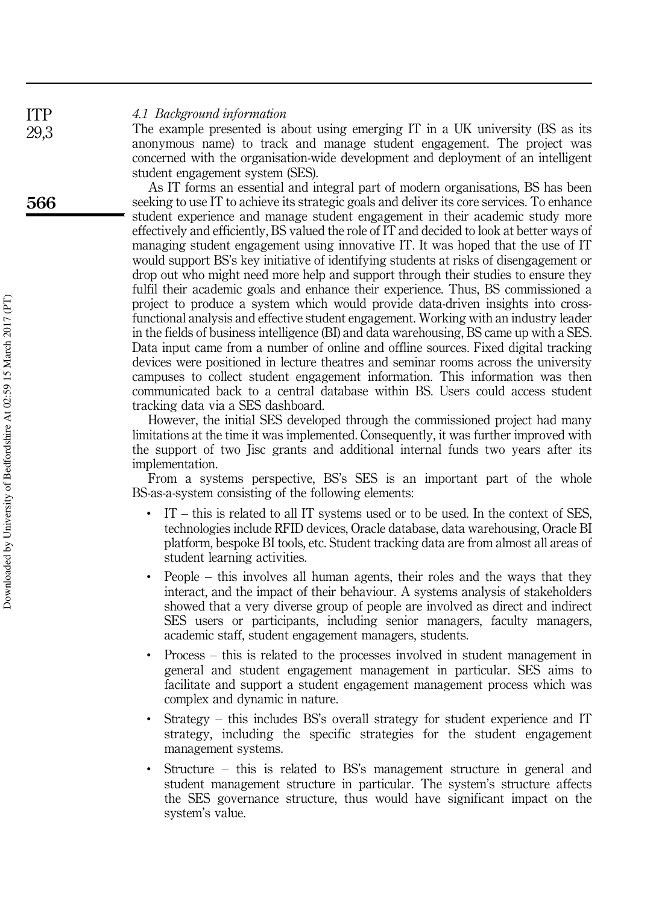#### *4.1 Background information* ITP

The example presented is about using emerging IT in a UK university (BS as its anonymous name) to track and manage student engagement. The project was concerned with the organisation-wide development and deployment of an intelligent student engagement system (SES).

As IT forms an essential and integral part of modern organisations, BS has been seeking to use IT to achieve its strategic goals and deliver its core services. To enhance student experience and manage student engagement in their academic study more effectively and efficiently, BS valued the role of IT and decided to look at better ways of managing student engagement using innovative IT. It was hoped that the use of IT would support BS's key initiative of identifying students at risks of disengagement or drop out who might need more help and support through their studies to ensure they fulfil their academic goals and enhance their experience. Thus, BS commissioned a project to produce a system which would provide data-driven insights into crossfunctional analysis and effective student engagement. Working with an industry leader in the fields of business intelligence (BI) and data warehousing, BS came up with a SES. Data input came from a number of online and offline sources. Fixed digital tracking devices were positioned in lecture theatres and seminar rooms across the university campuses to collect student engagement information. This information was then communicated back to a central database within BS. Users could access student tracking data via a SES dashboard.

However, the initial SES developed through the commissioned project had many limitations at the time it was implemented. Consequently, it was further improved with the support of two Jisc grants and additional internal funds two years after its implementation.

From a systems perspective, BS's SES is an important part of the whole BS-as-a-system consisting of the following elements:

- IT this is related to all IT systems used or to be used. In the context of SES, technologies include RFID devices, Oracle database, data warehousing, Oracle BI platform, bespoke BI tools, etc. Student tracking data are from almost all areas of student learning activities.
- People this involves all human agents, their roles and the ways that they interact, and the impact of their behaviour. A systems analysis of stakeholders showed that a very diverse group of people are involved as direct and indirect SES users or participants, including senior managers, faculty managers, academic staff, student engagement managers, students.
- Process this is related to the processes involved in student management in general and student engagement management in particular. SES aims to facilitate and support a student engagement management process which was complex and dynamic in nature.
- Strategy this includes BS's overall strategy for student experience and IT strategy, including the specific strategies for the student engagement management systems.
- Structure this is related to BS's management structure in general and student management structure in particular. The system's structure affects the SES governance structure, thus would have significant impact on the system's value.

566

29,3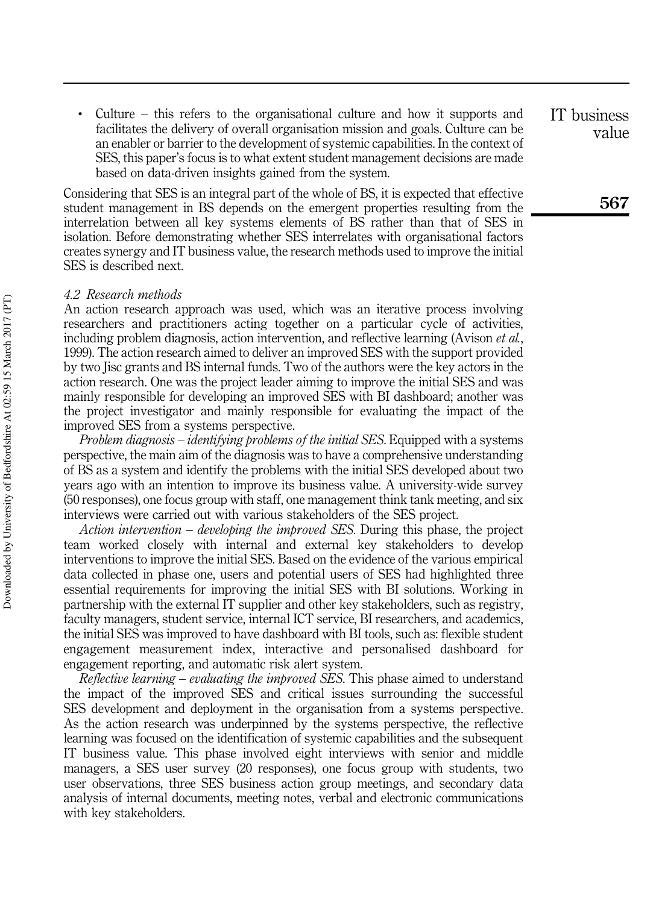Culture  $-$  this refers to the organisational culture and how it supports and facilitates the delivery of overall organisation mission and goals. Culture can be an enabler or barrier to the development of systemic capabilities. In the context of SES, this paper's focus is to what extent student management decisions are made based on data-driven insights gained from the system.

Considering that SES is an integral part of the whole of BS, it is expected that effective student management in BS depends on the emergent properties resulting from the interrelation between all key systems elements of BS rather than that of SES in isolation. Before demonstrating whether SES interrelates with organisational factors creates synergy and IT business value, the research methods used to improve the initial SES is described next.

### *4.2 Research methods*

An action research approach was used, which was an iterative process involving researchers and practitioners acting together on a particular cycle of activities, including problem diagnosis, action intervention, and reflective learning (Avison *et al.*, 1999). The action research aimed to deliver an improved SES with the support provided by two Jisc grants and BS internal funds. Two of the authors were the key actors in the action research. One was the project leader aiming to improve the initial SES and was mainly responsible for developing an improved SES with BI dashboard; another was the project investigator and mainly responsible for evaluating the impact of the improved SES from a systems perspective.

*Problem diagnosis* – *identifying problems of the initial SES*. Equipped with a systems perspective, the main aim of the diagnosis was to have a comprehensive understanding of BS as a system and identify the problems with the initial SES developed about two years ago with an intention to improve its business value. A university-wide survey (50 responses), one focus group with staff, one management think tank meeting, and six interviews were carried out with various stakeholders of the SES project.

*Action intervention* – *developing the improved SES*. During this phase, the project team worked closely with internal and external key stakeholders to develop interventions to improve the initial SES. Based on the evidence of the various empirical data collected in phase one, users and potential users of SES had highlighted three essential requirements for improving the initial SES with BI solutions. Working in partnership with the external IT supplier and other key stakeholders, such as registry, faculty managers, student service, internal ICT service, BI researchers, and academics, the initial SES was improved to have dashboard with BI tools, such as: flexible student engagement measurement index, interactive and personalised dashboard for engagement reporting, and automatic risk alert system.

*Reflective learning* – *evaluating the improved SES*. This phase aimed to understand the impact of the improved SES and critical issues surrounding the successful SES development and deployment in the organisation from a systems perspective. As the action research was underpinned by the systems perspective, the reflective learning was focused on the identification of systemic capabilities and the subsequent IT business value. This phase involved eight interviews with senior and middle managers, a SES user survey (20 responses), one focus group with students, two user observations, three SES business action group meetings, and secondary data analysis of internal documents, meeting notes, verbal and electronic communications with key stakeholders.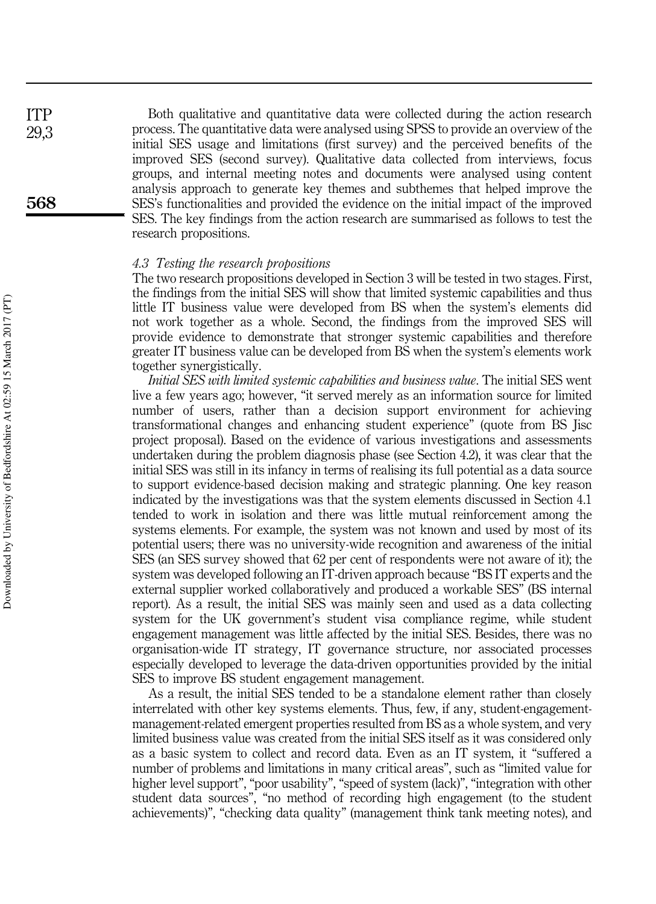Both qualitative and quantitative data were collected during the action research process. The quantitative data were analysed using SPSS to provide an overview of the initial SES usage and limitations (first survey) and the perceived benefits of the improved SES (second survey). Qualitative data collected from interviews, focus groups, and internal meeting notes and documents were analysed using content analysis approach to generate key themes and subthemes that helped improve the SES's functionalities and provided the evidence on the initial impact of the improved SES. The key findings from the action research are summarised as follows to test the research propositions.

## *4.3 Testing the research propositions*

The two research propositions developed in Section 3 will be tested in two stages. First, the findings from the initial SES will show that limited systemic capabilities and thus little IT business value were developed from BS when the system's elements did not work together as a whole. Second, the findings from the improved SES will provide evidence to demonstrate that stronger systemic capabilities and therefore greater IT business value can be developed from BS when the system's elements work together synergistically.

*Initial SES with limited systemic capabilities and business value*. The initial SES went live a few years ago; however, "it served merely as an information source for limited number of users, rather than a decision support environment for achieving transformational changes and enhancing student experience" (quote from BS Jisc project proposal). Based on the evidence of various investigations and assessments undertaken during the problem diagnosis phase (see Section 4.2), it was clear that the initial SES was still in its infancy in terms of realising its full potential as a data source to support evidence-based decision making and strategic planning. One key reason indicated by the investigations was that the system elements discussed in Section 4.1 tended to work in isolation and there was little mutual reinforcement among the systems elements. For example, the system was not known and used by most of its potential users; there was no university-wide recognition and awareness of the initial SES (an SES survey showed that 62 per cent of respondents were not aware of it); the system was developed following an IT-driven approach because "BS IT experts and the external supplier worked collaboratively and produced a workable SES" (BS internal report). As a result, the initial SES was mainly seen and used as a data collecting system for the UK government's student visa compliance regime, while student engagement management was little affected by the initial SES. Besides, there was no organisation-wide IT strategy, IT governance structure, nor associated processes especially developed to leverage the data-driven opportunities provided by the initial SES to improve BS student engagement management.

As a result, the initial SES tended to be a standalone element rather than closely interrelated with other key systems elements. Thus, few, if any, student-engagementmanagement-related emergent properties resulted from BS as a whole system, and very limited business value was created from the initial SES itself as it was considered only as a basic system to collect and record data. Even as an IT system, it "suffered a number of problems and limitations in many critical areas", such as "limited value for higher level support", "poor usability", "speed of system (lack)", "integration with other student data sources", "no method of recording high engagement (to the student achievements)", "checking data quality" (management think tank meeting notes), and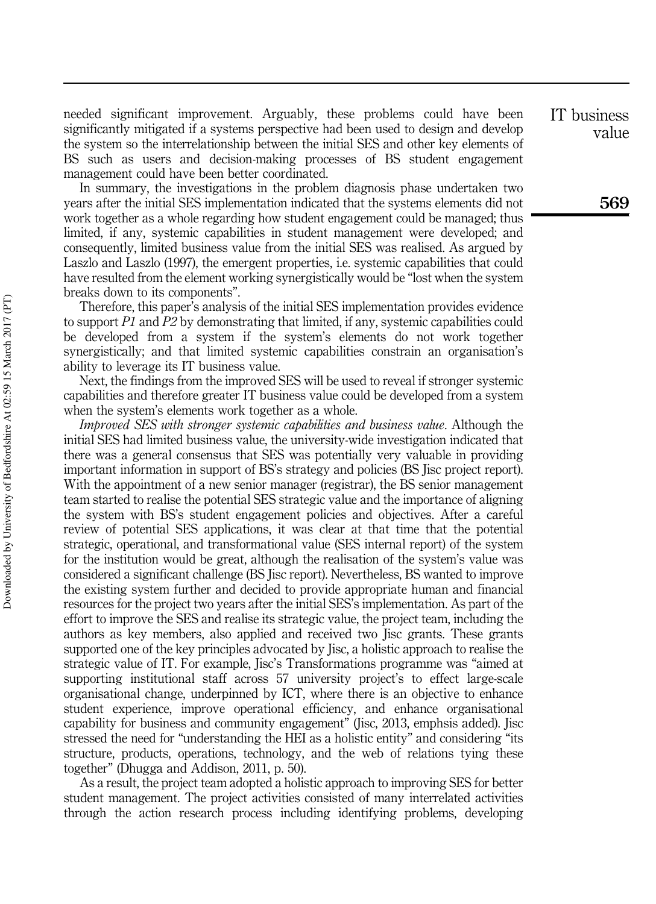needed significant improvement. Arguably, these problems could have been significantly mitigated if a systems perspective had been used to design and develop the system so the interrelationship between the initial SES and other key elements of BS such as users and decision-making processes of BS student engagement management could have been better coordinated.

In summary, the investigations in the problem diagnosis phase undertaken two years after the initial SES implementation indicated that the systems elements did not work together as a whole regarding how student engagement could be managed; thus limited, if any, systemic capabilities in student management were developed; and consequently, limited business value from the initial SES was realised. As argued by Laszlo and Laszlo (1997), the emergent properties, i.e. systemic capabilities that could have resulted from the element working synergistically would be "lost when the system breaks down to its components".

Therefore, this paper's analysis of the initial SES implementation provides evidence to support *P1* and *P2* by demonstrating that limited, if any, systemic capabilities could be developed from a system if the system's elements do not work together synergistically; and that limited systemic capabilities constrain an organisation's ability to leverage its IT business value.

Next, the findings from the improved SES will be used to reveal if stronger systemic capabilities and therefore greater IT business value could be developed from a system when the system's elements work together as a whole.

*Improved SES with stronger systemic capabilities and business value*. Although the initial SES had limited business value, the university-wide investigation indicated that there was a general consensus that SES was potentially very valuable in providing important information in support of BS's strategy and policies (BS Jisc project report). With the appointment of a new senior manager (registrar), the BS senior management team started to realise the potential SES strategic value and the importance of aligning the system with BS's student engagement policies and objectives. After a careful review of potential SES applications, it was clear at that time that the potential strategic, operational, and transformational value (SES internal report) of the system for the institution would be great, although the realisation of the system's value was considered a significant challenge (BS Jisc report). Nevertheless, BS wanted to improve the existing system further and decided to provide appropriate human and financial resources for the project two years after the initial SES's implementation. As part of the effort to improve the SES and realise its strategic value, the project team, including the authors as key members, also applied and received two Jisc grants. These grants supported one of the key principles advocated by Jisc, a holistic approach to realise the strategic value of IT. For example, Jisc's Transformations programme was "aimed at supporting institutional staff across 57 university project's to effect large-scale organisational change, underpinned by ICT, where there is an objective to enhance student experience, improve operational efficiency, and enhance organisational capability for business and community engagement" (Jisc, 2013, emphsis added). Jisc stressed the need for "understanding the HEI as a holistic entity" and considering "its structure, products, operations, technology, and the web of relations tying these together" (Dhugga and Addison, 2011, p. 50).

As a result, the project team adopted a holistic approach to improving SES for better student management. The project activities consisted of many interrelated activities through the action research process including identifying problems, developing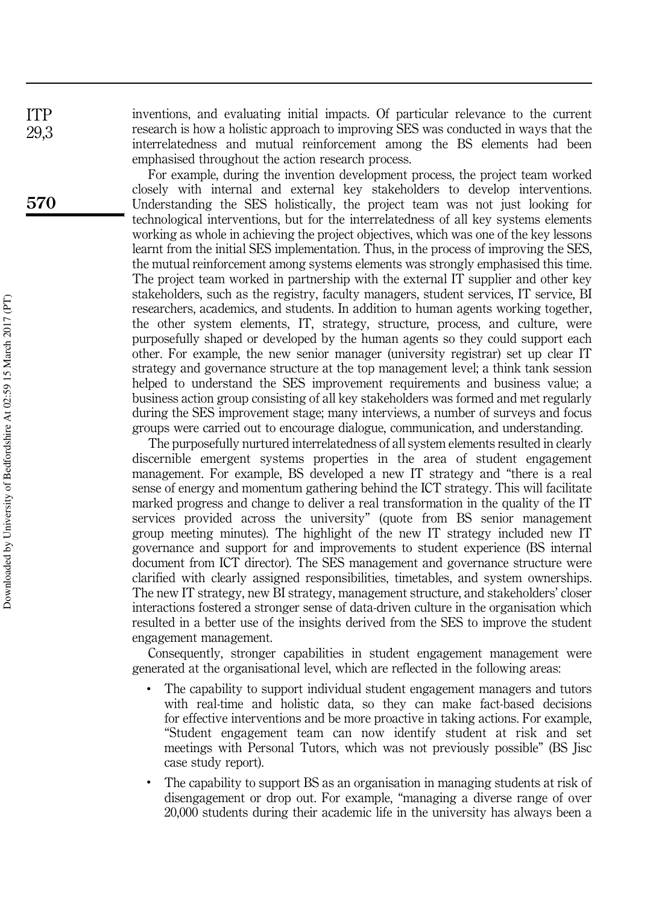inventions, and evaluating initial impacts. Of particular relevance to the current research is how a holistic approach to improving SES was conducted in ways that the interrelatedness and mutual reinforcement among the BS elements had been emphasised throughout the action research process.

For example, during the invention development process, the project team worked closely with internal and external key stakeholders to develop interventions. Understanding the SES holistically, the project team was not just looking for technological interventions, but for the interrelatedness of all key systems elements working as whole in achieving the project objectives, which was one of the key lessons learnt from the initial SES implementation. Thus, in the process of improving the SES, the mutual reinforcement among systems elements was strongly emphasised this time. The project team worked in partnership with the external IT supplier and other key stakeholders, such as the registry, faculty managers, student services, IT service, BI researchers, academics, and students. In addition to human agents working together, the other system elements, IT, strategy, structure, process, and culture, were purposefully shaped or developed by the human agents so they could support each other. For example, the new senior manager (university registrar) set up clear IT strategy and governance structure at the top management level; a think tank session helped to understand the SES improvement requirements and business value; a business action group consisting of all key stakeholders was formed and met regularly during the SES improvement stage; many interviews, a number of surveys and focus groups were carried out to encourage dialogue, communication, and understanding.

The purposefully nurtured interrelatedness of all system elements resulted in clearly discernible emergent systems properties in the area of student engagement management. For example, BS developed a new IT strategy and "there is a real sense of energy and momentum gathering behind the ICT strategy. This will facilitate marked progress and change to deliver a real transformation in the quality of the IT services provided across the university" (quote from BS senior management group meeting minutes). The highlight of the new IT strategy included new IT governance and support for and improvements to student experience (BS internal document from ICT director). The SES management and governance structure were clarified with clearly assigned responsibilities, timetables, and system ownerships. The new IT strategy, new BI strategy, management structure, and stakeholders' closer interactions fostered a stronger sense of data-driven culture in the organisation which resulted in a better use of the insights derived from the SES to improve the student engagement management.

Consequently, stronger capabilities in student engagement management were generated at the organisational level, which are reflected in the following areas:

- The capability to support individual student engagement managers and tutors with real-time and holistic data, so they can make fact-based decisions for effective interventions and be more proactive in taking actions. For example, "Student engagement team can now identify student at risk and set meetings with Personal Tutors, which was not previously possible" (BS Jisc case study report).
- The capability to support BS as an organisation in managing students at risk of disengagement or drop out. For example, "managing a diverse range of over 20,000 students during their academic life in the university has always been a

ITP 29,3

570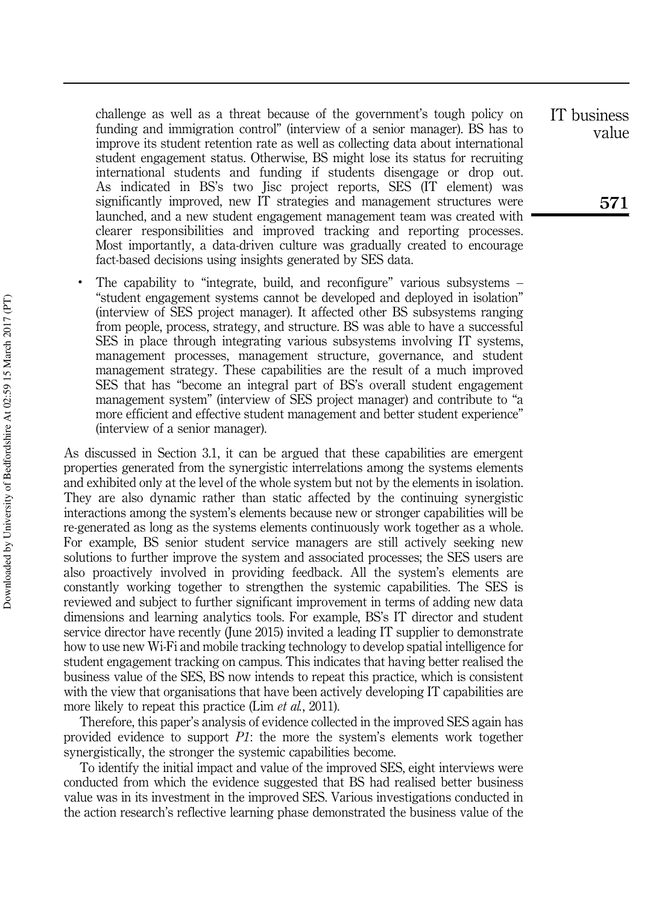challenge as well as a threat because of the government's tough policy on funding and immigration control" (interview of a senior manager). BS has to improve its student retention rate as well as collecting data about international student engagement status. Otherwise, BS might lose its status for recruiting international students and funding if students disengage or drop out. As indicated in BS's two Jisc project reports, SES (IT element) was significantly improved, new IT strategies and management structures were launched, and a new student engagement management team was created with clearer responsibilities and improved tracking and reporting processes. Most importantly, a data-driven culture was gradually created to encourage fact-based decisions using insights generated by SES data.

• The capability to "integrate, build, and reconfigure" various subsystems – "student engagement systems cannot be developed and deployed in isolation" (interview of SES project manager). It affected other BS subsystems ranging from people, process, strategy, and structure. BS was able to have a successful SES in place through integrating various subsystems involving IT systems, management processes, management structure, governance, and student management strategy. These capabilities are the result of a much improved SES that has "become an integral part of BS's overall student engagement management system" (interview of SES project manager) and contribute to "a more efficient and effective student management and better student experience" (interview of a senior manager).

As discussed in Section 3.1, it can be argued that these capabilities are emergent properties generated from the synergistic interrelations among the systems elements and exhibited only at the level of the whole system but not by the elements in isolation. They are also dynamic rather than static affected by the continuing synergistic interactions among the system's elements because new or stronger capabilities will be re-generated as long as the systems elements continuously work together as a whole. For example, BS senior student service managers are still actively seeking new solutions to further improve the system and associated processes; the SES users are also proactively involved in providing feedback. All the system's elements are constantly working together to strengthen the systemic capabilities. The SES is reviewed and subject to further significant improvement in terms of adding new data dimensions and learning analytics tools. For example, BS's IT director and student service director have recently (June 2015) invited a leading IT supplier to demonstrate how to use new Wi-Fi and mobile tracking technology to develop spatial intelligence for student engagement tracking on campus. This indicates that having better realised the business value of the SES, BS now intends to repeat this practice, which is consistent with the view that organisations that have been actively developing IT capabilities are more likely to repeat this practice (Lim *et al.*, 2011).

Therefore, this paper's analysis of evidence collected in the improved SES again has provided evidence to support *P1*: the more the system's elements work together synergistically, the stronger the systemic capabilities become.

To identify the initial impact and value of the improved SES, eight interviews were conducted from which the evidence suggested that BS had realised better business value was in its investment in the improved SES. Various investigations conducted in the action research's reflective learning phase demonstrated the business value of the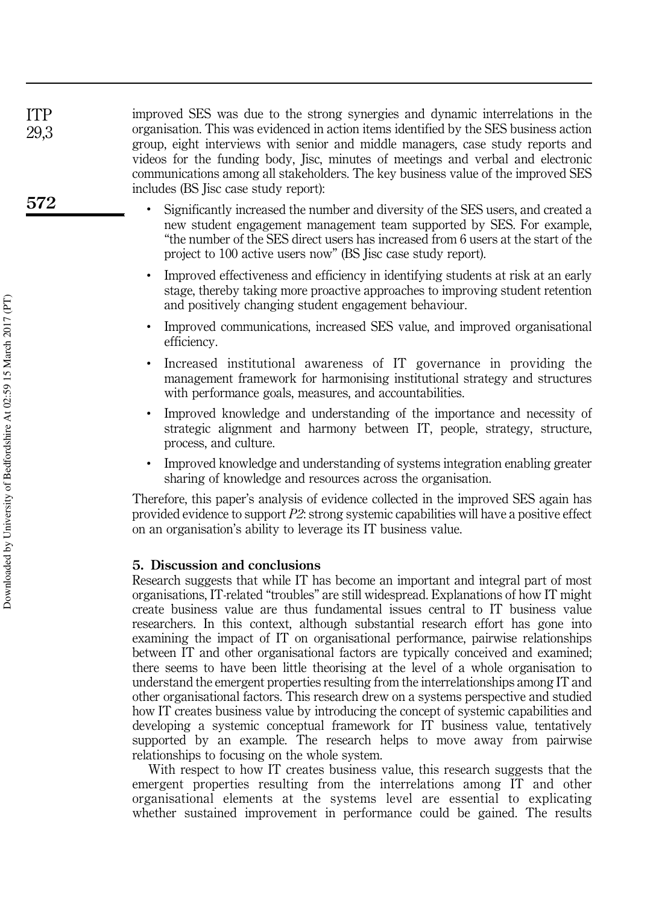improved SES was due to the strong synergies and dynamic interrelations in the organisation. This was evidenced in action items identified by the SES business action group, eight interviews with senior and middle managers, case study reports and videos for the funding body, Jisc, minutes of meetings and verbal and electronic communications among all stakeholders. The key business value of the improved SES includes (BS Jisc case study report):

- Significantly increased the number and diversity of the SES users, and created a new student engagement management team supported by SES. For example, "the number of the SES direct users has increased from 6 users at the start of the project to 100 active users now" (BS Jisc case study report).
- Improved effectiveness and efficiency in identifying students at risk at an early stage, thereby taking more proactive approaches to improving student retention and positively changing student engagement behaviour.
- Improved communications, increased SES value, and improved organisational efficiency.
- Increased institutional awareness of IT governance in providing the management framework for harmonising institutional strategy and structures with performance goals, measures, and accountabilities.
- Improved knowledge and understanding of the importance and necessity of strategic alignment and harmony between IT, people, strategy, structure, process, and culture.
- Improved knowledge and understanding of systems integration enabling greater sharing of knowledge and resources across the organisation.

Therefore, this paper's analysis of evidence collected in the improved SES again has provided evidence to support *P2*: strong systemic capabilities will have a positive effect on an organisation's ability to leverage its IT business value.

# 5. Discussion and conclusions

Research suggests that while IT has become an important and integral part of most organisations, IT-related "troubles" are still widespread. Explanations of how IT might create business value are thus fundamental issues central to IT business value researchers. In this context, although substantial research effort has gone into examining the impact of IT on organisational performance, pairwise relationships between IT and other organisational factors are typically conceived and examined; there seems to have been little theorising at the level of a whole organisation to understand the emergent properties resulting from the interrelationships among IT and other organisational factors. This research drew on a systems perspective and studied how IT creates business value by introducing the concept of systemic capabilities and developing a systemic conceptual framework for IT business value, tentatively supported by an example. The research helps to move away from pairwise relationships to focusing on the whole system.

With respect to how IT creates business value, this research suggests that the emergent properties resulting from the interrelations among IT and other organisational elements at the systems level are essential to explicating whether sustained improvement in performance could be gained. The results

572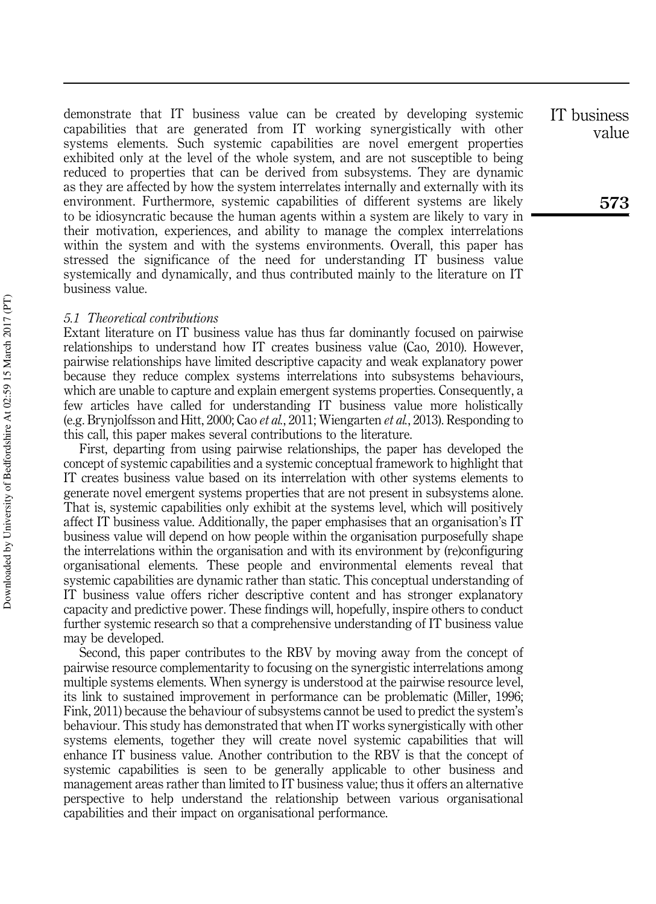demonstrate that IT business value can be created by developing systemic capabilities that are generated from IT working synergistically with other systems elements. Such systemic capabilities are novel emergent properties exhibited only at the level of the whole system, and are not susceptible to being reduced to properties that can be derived from subsystems. They are dynamic as they are affected by how the system interrelates internally and externally with its environment. Furthermore, systemic capabilities of different systems are likely to be idiosyncratic because the human agents within a system are likely to vary in their motivation, experiences, and ability to manage the complex interrelations within the system and with the systems environments. Overall, this paper has stressed the significance of the need for understanding IT business value systemically and dynamically, and thus contributed mainly to the literature on IT business value.

## *5.1 Theoretical contributions*

Extant literature on IT business value has thus far dominantly focused on pairwise relationships to understand how IT creates business value (Cao, 2010). However, pairwise relationships have limited descriptive capacity and weak explanatory power because they reduce complex systems interrelations into subsystems behaviours, which are unable to capture and explain emergent systems properties. Consequently, a few articles have called for understanding IT business value more holistically (e.g. Brynjolfsson and Hitt, 2000; Cao *et al.*, 2011; Wiengarten *et al.*, 2013). Responding to this call, this paper makes several contributions to the literature.

First, departing from using pairwise relationships, the paper has developed the concept of systemic capabilities and a systemic conceptual framework to highlight that IT creates business value based on its interrelation with other systems elements to generate novel emergent systems properties that are not present in subsystems alone. That is, systemic capabilities only exhibit at the systems level, which will positively affect IT business value. Additionally, the paper emphasises that an organisation's IT business value will depend on how people within the organisation purposefully shape the interrelations within the organisation and with its environment by (re)configuring organisational elements. These people and environmental elements reveal that systemic capabilities are dynamic rather than static. This conceptual understanding of IT business value offers richer descriptive content and has stronger explanatory capacity and predictive power. These findings will, hopefully, inspire others to conduct further systemic research so that a comprehensive understanding of IT business value may be developed.

Second, this paper contributes to the RBV by moving away from the concept of pairwise resource complementarity to focusing on the synergistic interrelations among multiple systems elements. When synergy is understood at the pairwise resource level, its link to sustained improvement in performance can be problematic (Miller, 1996; Fink, 2011) because the behaviour of subsystems cannot be used to predict the system's behaviour. This study has demonstrated that when IT works synergistically with other systems elements, together they will create novel systemic capabilities that will enhance IT business value. Another contribution to the RBV is that the concept of systemic capabilities is seen to be generally applicable to other business and management areas rather than limited to IT business value; thus it offers an alternative perspective to help understand the relationship between various organisational capabilities and their impact on organisational performance.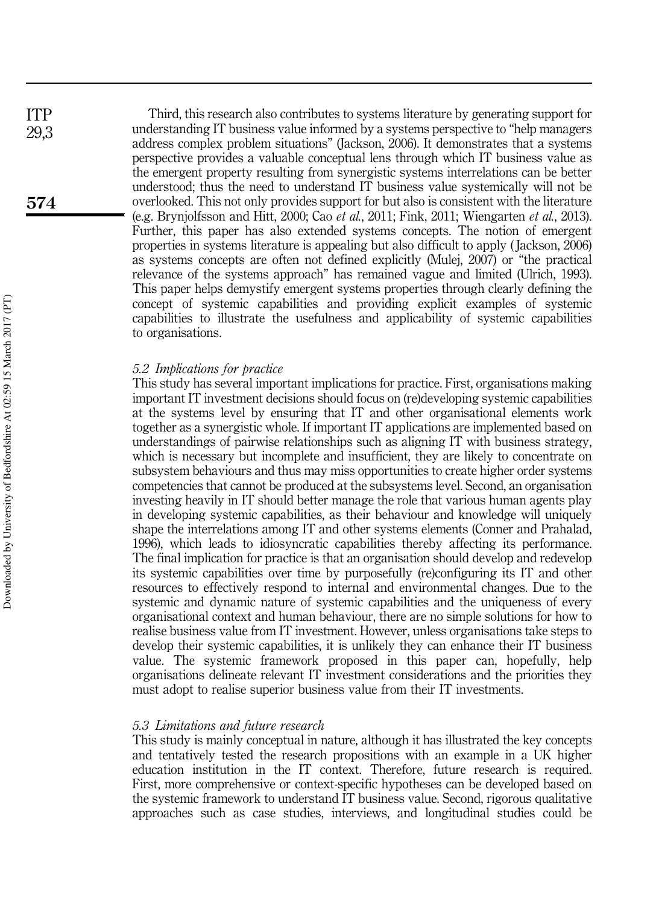Third, this research also contributes to systems literature by generating support for understanding IT business value informed by a systems perspective to "help managers address complex problem situations" (Jackson, 2006). It demonstrates that a systems perspective provides a valuable conceptual lens through which IT business value as the emergent property resulting from synergistic systems interrelations can be better understood; thus the need to understand IT business value systemically will not be overlooked. This not only provides support for but also is consistent with the literature (e.g. Brynjolfsson and Hitt, 2000; Cao *et al.*, 2011; Fink, 2011; Wiengarten *et al.*, 2013). Further, this paper has also extended systems concepts. The notion of emergent properties in systems literature is appealing but also difficult to apply ( Jackson, 2006) as systems concepts are often not defined explicitly (Mulej, 2007) or "the practical relevance of the systems approach" has remained vague and limited (Ulrich, 1993). This paper helps demystify emergent systems properties through clearly defining the concept of systemic capabilities and providing explicit examples of systemic capabilities to illustrate the usefulness and applicability of systemic capabilities to organisations.

# *5.2 Implications for practice*

This study has several important implications for practice. First, organisations making important IT investment decisions should focus on (re)developing systemic capabilities at the systems level by ensuring that IT and other organisational elements work together as a synergistic whole. If important IT applications are implemented based on understandings of pairwise relationships such as aligning IT with business strategy, which is necessary but incomplete and insufficient, they are likely to concentrate on subsystem behaviours and thus may miss opportunities to create higher order systems competencies that cannot be produced at the subsystems level. Second, an organisation investing heavily in IT should better manage the role that various human agents play in developing systemic capabilities, as their behaviour and knowledge will uniquely shape the interrelations among IT and other systems elements (Conner and Prahalad, 1996), which leads to idiosyncratic capabilities thereby affecting its performance. The final implication for practice is that an organisation should develop and redevelop its systemic capabilities over time by purposefully (re)configuring its IT and other resources to effectively respond to internal and environmental changes. Due to the systemic and dynamic nature of systemic capabilities and the uniqueness of every organisational context and human behaviour, there are no simple solutions for how to realise business value from IT investment. However, unless organisations take steps to develop their systemic capabilities, it is unlikely they can enhance their IT business value. The systemic framework proposed in this paper can, hopefully, help organisations delineate relevant IT investment considerations and the priorities they must adopt to realise superior business value from their IT investments.

### *5.3 Limitations and future research*

This study is mainly conceptual in nature, although it has illustrated the key concepts and tentatively tested the research propositions with an example in a UK higher education institution in the IT context. Therefore, future research is required. First, more comprehensive or context-specific hypotheses can be developed based on the systemic framework to understand IT business value. Second, rigorous qualitative approaches such as case studies, interviews, and longitudinal studies could be

574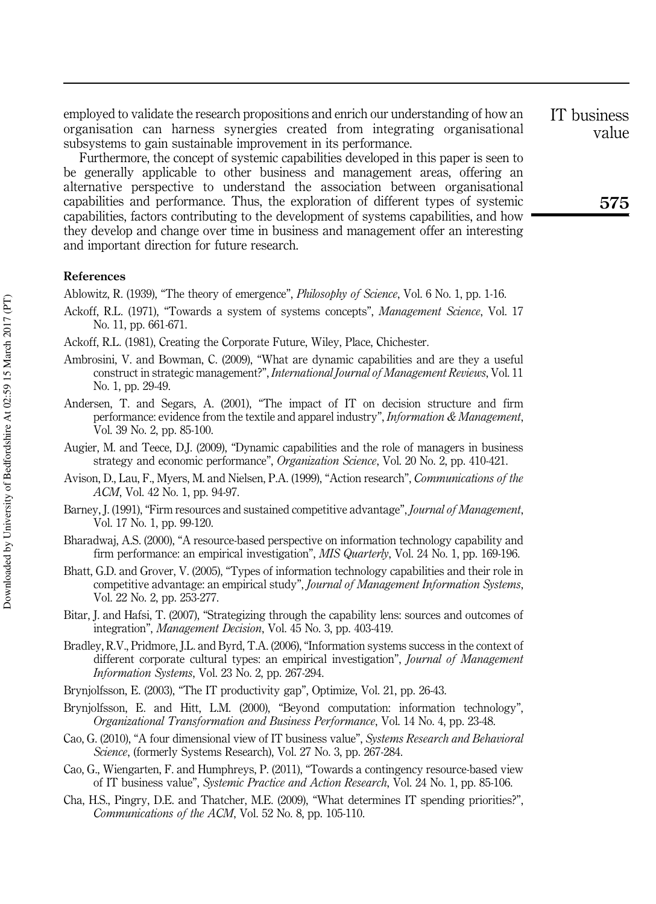employed to validate the research propositions and enrich our understanding of how an organisation can harness synergies created from integrating organisational subsystems to gain sustainable improvement in its performance.

Furthermore, the concept of systemic capabilities developed in this paper is seen to be generally applicable to other business and management areas, offering an alternative perspective to understand the association between organisational capabilities and performance. Thus, the exploration of different types of systemic capabilities, factors contributing to the development of systems capabilities, and how they develop and change over time in business and management offer an interesting and important direction for future research.

# References

Ablowitz, R. (1939), "The theory of emergence", *Philosophy of Science*, Vol. 6 No. 1, pp. 1-16.

- Ackoff, R.L. (1971), "Towards a system of systems concepts", *Management Science*, Vol. 17 No. 11, pp. 661-671.
- Ackoff, R.L. (1981), Creating the Corporate Future, Wiley, Place, Chichester.
- Ambrosini, V. and Bowman, C. (2009), "What are dynamic capabilities and are they a useful construct in strategic management?", *International Journal of Management Reviews*, Vol. 11 No. 1, pp. 29-49.
- Andersen, T. and Segars, A. (2001), "The impact of IT on decision structure and firm performance: evidence from the textile and apparel industry", *Information & Management*, Vol. 39 No. 2, pp. 85-100.
- Augier, M. and Teece, D.J. (2009), "Dynamic capabilities and the role of managers in business strategy and economic performance", *Organization Science*, Vol. 20 No. 2, pp. 410-421.
- Avison, D., Lau, F., Myers, M. and Nielsen, P.A. (1999), "Action research", *Communications of the ACM*, Vol. 42 No. 1, pp. 94-97.
- Barney, J. (1991), "Firm resources and sustained competitive advantage", *Journal of Management*, Vol. 17 No. 1, pp. 99-120.
- Bharadwaj, A.S. (2000), "A resource-based perspective on information technology capability and firm performance: an empirical investigation", *MIS Quarterly*, Vol. 24 No. 1, pp. 169-196.
- Bhatt, G.D. and Grover, V. (2005), "Types of information technology capabilities and their role in competitive advantage: an empirical study", *Journal of Management Information Systems*, Vol. 22 No. 2, pp. 253-277.
- Bitar, J. and Hafsi, T. (2007), "Strategizing through the capability lens: sources and outcomes of integration", *Management Decision*, Vol. 45 No. 3, pp. 403-419.
- Bradley, R.V., Pridmore, J.L. and Byrd, T.A. (2006), "Information systems success in the context of different corporate cultural types: an empirical investigation", *Journal of Management Information Systems*, Vol. 23 No. 2, pp. 267-294.
- Brynjolfsson, E. (2003), "The IT productivity gap", Optimize, Vol. 21, pp. 26-43.
- Brynjolfsson, E. and Hitt, L.M. (2000), "Beyond computation: information technology", *Organizational Transformation and Business Performance*, Vol. 14 No. 4, pp. 23-48.
- Cao, G. (2010), "A four dimensional view of IT business value", *Systems Research and Behavioral Science*, (formerly Systems Research), Vol. 27 No. 3, pp. 267-284.
- Cao, G., Wiengarten, F. and Humphreys, P. (2011), "Towards a contingency resource-based view of IT business value", *Systemic Practice and Action Research*, Vol. 24 No. 1, pp. 85-106.
- Cha, H.S., Pingry, D.E. and Thatcher, M.E. (2009), "What determines IT spending priorities?", *Communications of the ACM*, Vol. 52 No. 8, pp. 105-110.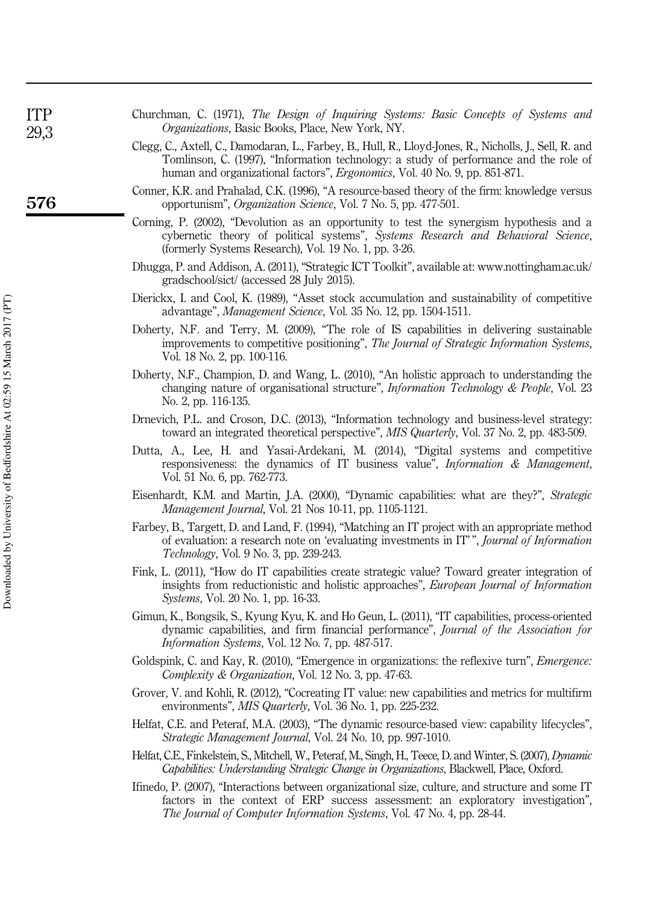| <b>TTP</b><br>29,3 | Churchman, C. (1971), The Design of Inquiring Systems: Basic Concepts of Systems and<br><i>Organizations</i> , Basic Books, Place, New York, NY. |
|--------------------|--------------------------------------------------------------------------------------------------------------------------------------------------|
|                    | Clegg, C., Axtell, C., Damodaran, L., Farbey, B., Hull, R., Lloyd-Jones, R., Nicholls, J., Sell, R. and                                          |
|                    | Tomlinson, C. (1997), "Information technology: a study of performance and the role of                                                            |
|                    | human and organizational factors", <i>Ergonomics</i> , Vol. 40 No. 9, pp. 851-871.                                                               |

- Conner, K.R. and Prahalad, C.K. (1996), "A resource-based theory of the firm: knowledge versus opportunism", *Organization Science*, Vol. 7 No. 5, pp. 477-501.
- Corning, P. (2002), "Devolution as an opportunity to test the synergism hypothesis and a cybernetic theory of political systems", *Systems Research and Behavioral Science*, (formerly Systems Research), Vol. 19 No. 1, pp. 3-26.
- Dhugga, P. and Addison, A. (2011), "Strategic ICT Toolkit", available at: www.nottingham.ac.uk/ gradschool/sict/ (accessed 28 July 2015).
- Dierickx, I. and Cool, K. (1989), "Asset stock accumulation and sustainability of competitive advantage", *Management Science*, Vol. 35 No. 12, pp. 1504-1511.
- Doherty, N.F. and Terry, M. (2009), "The role of IS capabilities in delivering sustainable improvements to competitive positioning", *The Journal of Strategic Information Systems*, Vol. 18 No. 2, pp. 100-116.
- Doherty, N.F., Champion, D. and Wang, L. (2010), "An holistic approach to understanding the changing nature of organisational structure", *Information Technology & People*, Vol. 23 No. 2, pp. 116-135.
- Drnevich, P.L. and Croson, D.C. (2013), "Information technology and business-level strategy: toward an integrated theoretical perspective", *MIS Quarterly*, Vol. 37 No. 2, pp. 483-509.
- Dutta, A., Lee, H. and Yasai-Ardekani, M. (2014), "Digital systems and competitive responsiveness: the dynamics of IT business value", *Information & Management*, Vol. 51 No. 6, pp. 762-773.
- Eisenhardt, K.M. and Martin, J.A. (2000), "Dynamic capabilities: what are they?", *Strategic Management Journal*, Vol. 21 Nos 10-11, pp. 1105-1121.
- Farbey, B., Targett, D. and Land, F. (1994), "Matching an IT project with an appropriate method of evaluation: a research note on 'evaluating investments in IT' ", *Journal of Information Technology*, Vol. 9 No. 3, pp. 239-243.
- Fink, L. (2011), "How do IT capabilities create strategic value? Toward greater integration of insights from reductionistic and holistic approaches", *European Journal of Information Systems*, Vol. 20 No. 1, pp. 16-33.
- Gimun, K., Bongsik, S., Kyung Kyu, K. and Ho Geun, L. (2011), "IT capabilities, process-oriented dynamic capabilities, and firm financial performance", *Journal of the Association for Information Systems*, Vol. 12 No. 7, pp. 487-517.
- Goldspink, C. and Kay, R. (2010), "Emergence in organizations: the reflexive turn", *Emergence: Complexity & Organization*, Vol. 12 No. 3, pp. 47-63.
- Grover, V. and Kohli, R. (2012), "Cocreating IT value: new capabilities and metrics for multifirm environments", *MIS Quarterly*, Vol. 36 No. 1, pp. 225-232.
- Helfat, C.E. and Peteraf, M.A. (2003), "The dynamic resource-based view: capability lifecycles", *Strategic Management Journal*, Vol. 24 No. 10, pp. 997-1010.
- Helfat, C.E., Finkelstein, S., Mitchell, W., Peteraf, M., Singh, H., Teece, D. and Winter, S. (2007), *Dynamic Capabilities: Understanding Strategic Change in Organizations*, Blackwell, Place, Oxford.
- Ifinedo, P. (2007), "Interactions between organizational size, culture, and structure and some IT factors in the context of ERP success assessment: an exploratory investigation", *The Journal of Computer Information Systems*, Vol. 47 No. 4, pp. 28-44.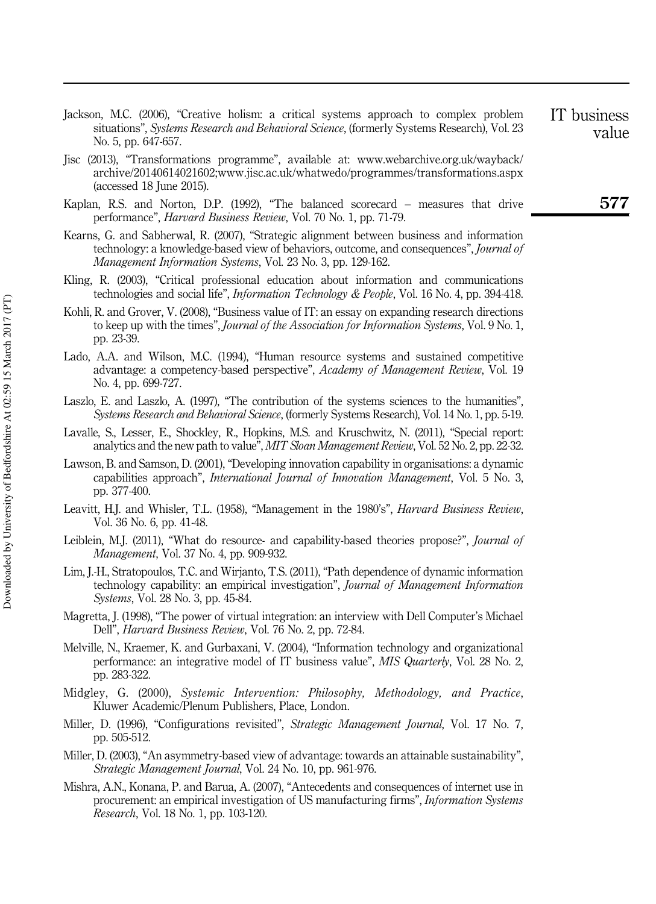- Jackson, M.C. (2006), "Creative holism: a critical systems approach to complex problem situations", *Systems Research and Behavioral Science*, (formerly Systems Research), Vol. 23 No. 5, pp. 647-657.
- Jisc (2013), "Transformations programme", available at: www.webarchive.org.uk/wayback/ archive/20140614021602;www.jisc.ac.uk/whatwedo/programmes/transformations.aspx (accessed 18 June 2015).
- Kaplan, R.S. and Norton, D.P. (1992), "The balanced scorecard measures that drive performance", *Harvard Business Review*, Vol. 70 No. 1, pp. 71-79.
- Kearns, G. and Sabherwal, R. (2007), "Strategic alignment between business and information technology: a knowledge-based view of behaviors, outcome, and consequences", *Journal of Management Information Systems*, Vol. 23 No. 3, pp. 129-162.
- Kling, R. (2003), "Critical professional education about information and communications technologies and social life", *Information Technology & People*, Vol. 16 No. 4, pp. 394-418.
- Kohli, R. and Grover, V. (2008), "Business value of IT: an essay on expanding research directions to keep up with the times", *Journal of the Association for Information Systems*, Vol. 9 No. 1, pp. 23-39.
- Lado, A.A. and Wilson, M.C. (1994), "Human resource systems and sustained competitive advantage: a competency-based perspective", *Academy of Management Review*, Vol. 19 No. 4, pp. 699-727.
- Laszlo, E. and Laszlo, A. (1997), "The contribution of the systems sciences to the humanities", *Systems Research and Behavioral Science*, (formerly Systems Research), Vol. 14 No. 1, pp. 5-19.
- Lavalle, S., Lesser, E., Shockley, R., Hopkins, M.S. and Kruschwitz, N. (2011), "Special report: analytics and the new path to value", *MIT Sloan Management Review*, Vol. 52 No. 2, pp. 22-32.
- Lawson, B. and Samson, D. (2001), "Developing innovation capability in organisations: a dynamic capabilities approach", *International Journal of Innovation Management*, Vol. 5 No. 3, pp. 377-400.
- Leavitt, H.J. and Whisler, T.L. (1958), "Management in the 1980's", *Harvard Business Review*, Vol. 36 No. 6, pp. 41-48.
- Leiblein, M.J. (2011), "What do resource- and capability-based theories propose?", *Journal of Management*, Vol. 37 No. 4, pp. 909-932.
- Lim, J.-H., Stratopoulos, T.C. and Wirjanto, T.S. (2011), "Path dependence of dynamic information technology capability: an empirical investigation", *Journal of Management Information Systems*, Vol. 28 No. 3, pp. 45-84.
- Magretta, J. (1998), "The power of virtual integration: an interview with Dell Computer's Michael Dell", *Harvard Business Review*, Vol. 76 No. 2, pp. 72-84.
- Melville, N., Kraemer, K. and Gurbaxani, V. (2004), "Information technology and organizational performance: an integrative model of IT business value", *MIS Quarterly*, Vol. 28 No. 2, pp. 283-322.
- Midgley, G. (2000), *Systemic Intervention: Philosophy, Methodology, and Practice*, Kluwer Academic/Plenum Publishers, Place, London.
- Miller, D. (1996), "Configurations revisited", *Strategic Management Journal*, Vol. 17 No. 7, pp. 505-512.
- Miller, D. (2003), "An asymmetry-based view of advantage: towards an attainable sustainability", *Strategic Management Journal*, Vol. 24 No. 10, pp. 961-976.
- Mishra, A.N., Konana, P. and Barua, A. (2007), "Antecedents and consequences of internet use in procurement: an empirical investigation of US manufacturing firms", *Information Systems Research*, Vol. 18 No. 1, pp. 103-120.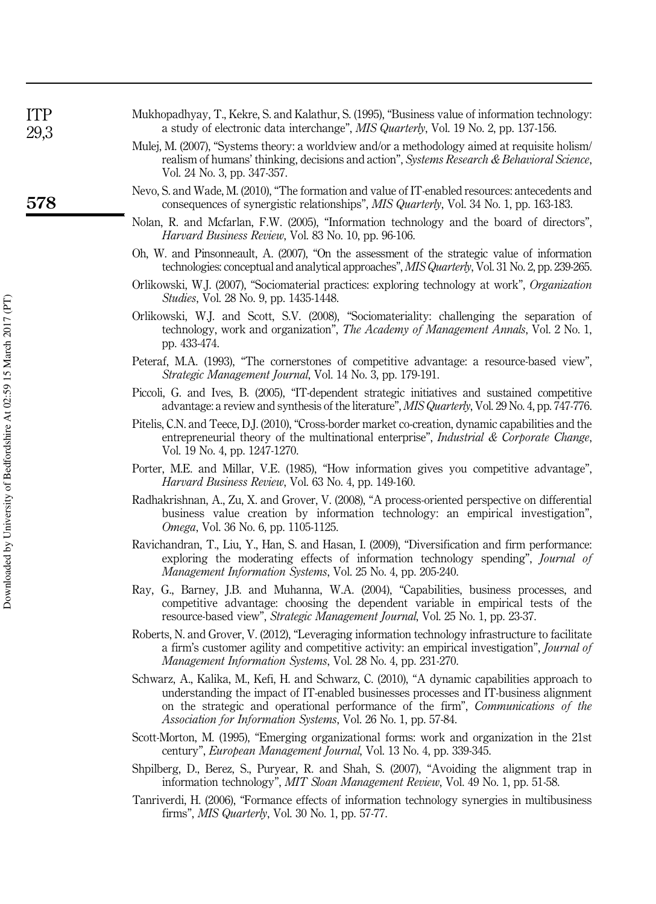| ITP<br>29,3 | Mukhopadhyay, T., Kekre, S. and Kalathur, S. (1995), "Business value of information technology.<br>a study of electronic data interchange", MIS Quarterly, Vol. 19 No. 2, pp. 137-156.                                                                                                                                                                     |
|-------------|------------------------------------------------------------------------------------------------------------------------------------------------------------------------------------------------------------------------------------------------------------------------------------------------------------------------------------------------------------|
|             | Mulej, M. (2007), "Systems theory: a worldview and/or a methodology aimed at requisite holism/<br>realism of humans' thinking, decisions and action", Systems Research & Behavioral Science,<br>Vol. 24 No. 3, pp. 347-357.                                                                                                                                |
| 578         | Nevo, S. and Wade, M. (2010), "The formation and value of IT-enabled resources: antecedents and<br>consequences of synergistic relationships", MIS Quarterly, Vol. 34 No. 1, pp. 163-183.                                                                                                                                                                  |
|             | Nolan, R. and Mcfarlan, F.W. (2005), "Information technology and the board of directors"<br><i>Harvard Business Review, Vol. 83 No. 10, pp. 96-106.</i>                                                                                                                                                                                                    |
|             | Oh, W. and Pinsonneault, A. (2007), "On the assessment of the strategic value of information<br>technologies: conceptual and analytical approaches", MIS Quarterly, Vol. 31 No. 2, pp. 239-265.                                                                                                                                                            |
|             | Orlikowski, W.J. (2007), "Sociomaterial practices: exploring technology at work", Organization<br><i>Studies</i> , Vol. 28 No. 9, pp. 1435-1448.                                                                                                                                                                                                           |
|             | Orlikowski, W.J. and Scott, S.V. (2008), "Sociomateriality: challenging the separation of<br>technology, work and organization", The Academy of Management Annals, Vol. 2 No. 1,<br>pp. 433-474.                                                                                                                                                           |
|             | Peteraf, M.A. (1993), "The cornerstones of competitive advantage: a resource-based view"<br><i>Strategic Management Journal</i> , Vol. 14 No. 3, pp. 179-191.                                                                                                                                                                                              |
|             | Piccoli, G. and Ives, B. (2005), "IT-dependent strategic initiatives and sustained competitive<br>advantage: a review and synthesis of the literature", MIS Quarterly, Vol. 29 No. 4, pp. 747-776.                                                                                                                                                         |
|             | Pitelis, C.N. and Teece, D.J. (2010), "Cross-border market co-creation, dynamic capabilities and the<br>entrepreneurial theory of the multinational enterprise", <i>Industrial &amp; Corporate Change</i><br>Vol. 19 No. 4, pp. 1247-1270.                                                                                                                 |
|             | Porter, M.E. and Millar, V.E. (1985), "How information gives you competitive advantage"<br>Harvard Business Review, Vol. 63 No. 4, pp. 149-160.                                                                                                                                                                                                            |
|             | Radhakrishnan, A., Zu, X. and Grover, V. (2008), "A process-oriented perspective on differential<br>business value creation by information technology: an empirical investigation"<br><i>Omega</i> , Vol. 36 No. 6, pp. 1105-1125.                                                                                                                         |
|             | Ravichandran, T., Liu, Y., Han, S. and Hasan, I. (2009), "Diversification and firm performance<br>exploring the moderating effects of information technology spending", <i>Journal of</i><br><i>Management Information Systems, Vol. 25 No. 4, pp. 205-240.</i>                                                                                            |
|             | Ray, G., Barney, J.B. and Muhanna, W.A. (2004), "Capabilities, business processes, and<br>competitive advantage: choosing the dependent variable in empirical tests of the<br>resource-based view", Strategic Management Journal, Vol. 25 No. 1, pp. 23-37.                                                                                                |
|             | Roberts, N. and Grover, V. (2012), "Leveraging information technology infrastructure to facilitate<br>a firm's customer agility and competitive activity: an empirical investigation", <i>Journal of</i><br><i>Management Information Systems, Vol. 28 No. 4, pp. 231-270.</i>                                                                             |
|             | Schwarz, A., Kalika, M., Kefi, H. and Schwarz, C. (2010), "A dynamic capabilities approach to<br>understanding the impact of IT-enabled businesses processes and IT-business alignment<br>on the strategic and operational performance of the firm", <i>Communications of the</i><br><i>Association for Information Systems, Vol. 26 No. 1, pp. 57-84.</i> |
|             | Scott-Morton, M. (1995), "Emerging organizational forms: work and organization in the 21st<br>century", <i>European Management Journal</i> , Vol. 13 No. 4, pp. 339-345.                                                                                                                                                                                   |
|             | Shpilberg, D., Berez, S., Puryear, R. and Shah, S. (2007), "Avoiding the alignment trap in<br>information technology", MIT Sloan Management Review, Vol. 49 No. 1, pp. 51-58.                                                                                                                                                                              |
|             | Tapriverdi H (2006) "Formance effects of information technology synergies in multiplyiness                                                                                                                                                                                                                                                                 |

Tanriverdi, H. (2006), "Formance effects of information technology synergies in multibusiness firms", *MIS Quarterly*, Vol. 30 No. 1, pp. 57-77.